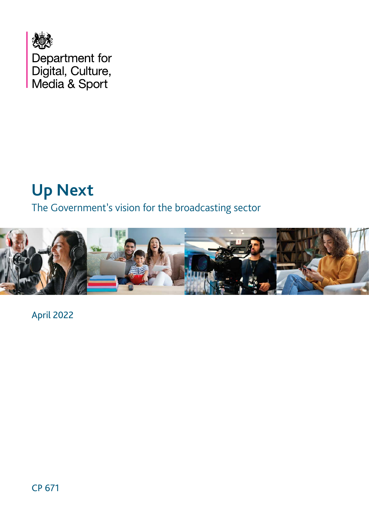

# **Up Next**

# The Government's vision for the broadcasting sector



April 2022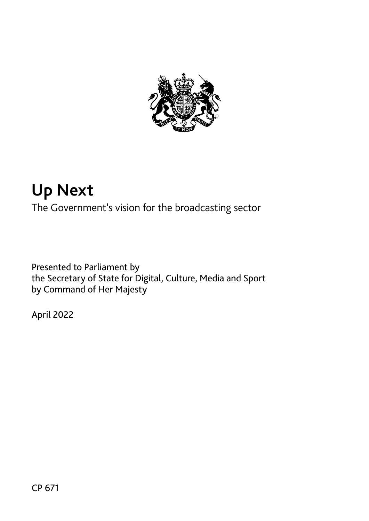

# **Up Next**

The Government's vision for the broadcasting sector

Presented to Parliament by the Secretary of State for Digital, Culture, Media and Sport by Command of Her Majesty

April 2022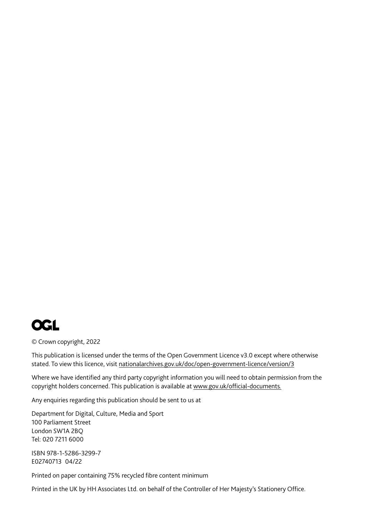

© Crown copyright, 2022

This publication is licensed under the terms of the Open Government Licence v3.0 except where otherwise stated. To view this licence, visit nationalarchives.gov.uk/doc/open-government-licence/version/3

Where we have identified any third party copyright information you will need to obtain permission from the copyright holders concerned. This publication is available at [www.gov.uk/official-documents](http://www.gov.uk/official-documents.)*.*

Any enquiries regarding this publication should be sent to us at

Department for Digital, Culture, Media and Sport 100 Parliament Street London SW1A 2BQ Tel: 020 7211 6000

ISBN 978-1-5286-3299-7 E02740713 04/22

Printed on paper containing 75% recycled fibre content minimum

Printed in the UK by HH Associates Ltd. on behalf of the Controller of Her Majesty's Stationery Office.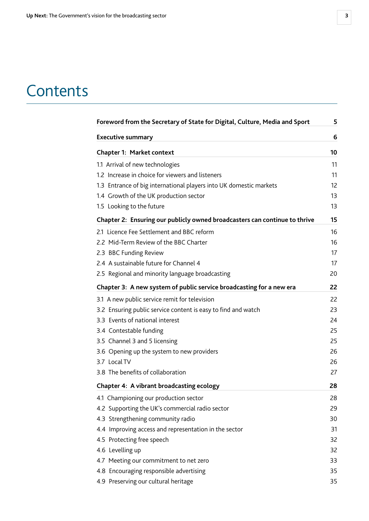# **Contents**

| Foreword from the Secretary of State for Digital, Culture, Media and Sport | 5  |
|----------------------------------------------------------------------------|----|
| <b>Executive summary</b>                                                   | 6  |
| <b>Chapter 1: Market context</b>                                           | 10 |
| 1.1 Arrival of new technologies                                            | 11 |
| 1.2 Increase in choice for viewers and listeners                           | 11 |
| 1.3 Entrance of big international players into UK domestic markets         | 12 |
| 1.4 Growth of the UK production sector                                     | 13 |
| 1.5 Looking to the future                                                  | 13 |
| Chapter 2: Ensuring our publicly owned broadcasters can continue to thrive | 15 |
| 2.1 Licence Fee Settlement and BBC reform                                  | 16 |
| 2.2 Mid-Term Review of the BBC Charter                                     | 16 |
| 2.3 BBC Funding Review                                                     | 17 |
| 2.4 A sustainable future for Channel 4                                     | 17 |
| 2.5 Regional and minority language broadcasting                            | 20 |
| Chapter 3: A new system of public service broadcasting for a new era       | 22 |
| 3.1 A new public service remit for television                              | 22 |
| 3.2 Ensuring public service content is easy to find and watch              | 23 |
| 3.3 Events of national interest                                            | 24 |
| 3.4 Contestable funding                                                    | 25 |
| 3.5 Channel 3 and 5 licensing                                              | 25 |
| 3.6 Opening up the system to new providers                                 | 26 |
| 3.7 Local TV                                                               | 26 |
| 3.8 The benefits of collaboration                                          | 27 |
| Chapter 4: A vibrant broadcasting ecology                                  | 28 |
| 4.1 Championing our production sector                                      | 28 |
| 4.2 Supporting the UK's commercial radio sector                            | 29 |
| 4.3 Strengthening community radio                                          | 30 |
| 4.4 Improving access and representation in the sector                      | 31 |
| 4.5 Protecting free speech                                                 | 32 |
| 4.6 Levelling up                                                           | 32 |
| 4.7 Meeting our commitment to net zero                                     | 33 |
| 4.8 Encouraging responsible advertising                                    | 35 |
| 4.9 Preserving our cultural heritage                                       | 35 |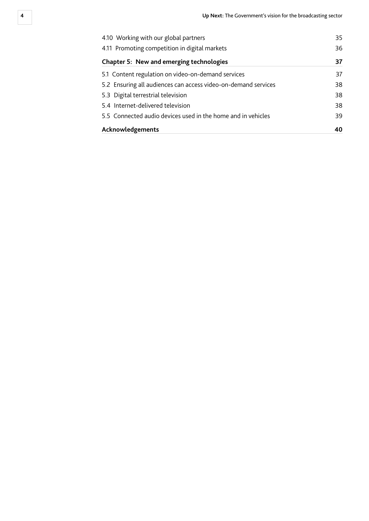| 4.10 Working with our global partners<br>4.11 Promoting competition in digital markets<br><b>Chapter 5: New and emerging technologies</b> | 35<br>36<br>37 |                                                                |    |
|-------------------------------------------------------------------------------------------------------------------------------------------|----------------|----------------------------------------------------------------|----|
|                                                                                                                                           |                | 5.1 Content regulation on video-on-demand services             | 37 |
|                                                                                                                                           |                | 5.2 Ensuring all audiences can access video-on-demand services | 38 |
| 5.3 Digital terrestrial television                                                                                                        | 38             |                                                                |    |
| 5.4 Internet-delivered television                                                                                                         | 38             |                                                                |    |
| 5.5 Connected audio devices used in the home and in vehicles                                                                              | 39             |                                                                |    |
| Acknowledgements                                                                                                                          | 40             |                                                                |    |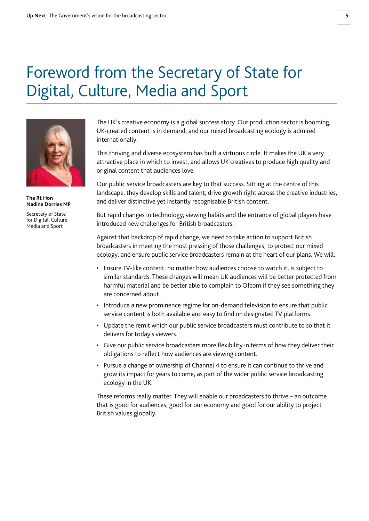# <span id="page-5-0"></span>Foreword from the Secretary of State for Digital, Culture, Media and Sport



**The Rt Hon Nadine Dorries MP**

Secretary of State for Digital, Culture, Media and Sport

The UK's creative economy is a global success story. Our production sector is booming, UK-created content is in demand, and our mixed broadcasting ecology is admired internationally.

This thriving and diverse ecosystem has built a virtuous circle. It makes the UK a very attractive place in which to invest, and allows UK creatives to produce high quality and original content that audiences love.

Our public service broadcasters are key to that success. Sitting at the centre of this landscape, they develop skills and talent, drive growth right across the creative industries, and deliver distinctive yet instantly recognisable British content.

But rapid changes in technology, viewing habits and the entrance of global players have introduced new challenges for British broadcasters.

Against that backdrop of rapid change, we need to take action to support British broadcasters in meeting the most pressing of those challenges, to protect our mixed ecology, and ensure public service broadcasters remain at the heart of our plans. We will:

- Ensure TV-like content, no matter how audiences choose to watch it, is subject to similar standards. These changes will mean UK audiences will be better protected from harmful material and be better able to complain to Ofcom if they see something they are concerned about.
- Introduce a new prominence regime for on-demand television to ensure that public service content is both available and easy to find on designated TV platforms.
- Update the remit which our public service broadcasters must contribute to so that it delivers for today's viewers.
- Give our public service broadcasters more flexibility in terms of how they deliver their obligations to reflect how audiences are viewing content.
- Pursue a change of ownership of Channel 4 to ensure it can continue to thrive and grow its impact for years to come, as part of the wider public service broadcasting ecology in the UK.

These reforms really matter. They will enable our broadcasters to thrive – an outcome that is good for audiences, good for our economy and good for our ability to project British values globally.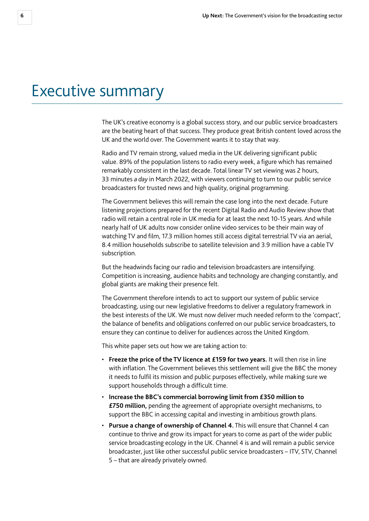# <span id="page-6-0"></span>Executive summary

The UK's creative economy is a global success story, and our public service broadcasters are the beating heart of that success. They produce great British content loved across the UK and the world over. The Government wants it to stay that way.

Radio and TV remain strong, valued media in the UK delivering significant public value. 89% of the population listens to radio every week, a figure which has remained remarkably consistent in the last decade. Total linear TV set viewing was 2 hours, 33 minutes *a day* in March 2022, with viewers continuing to turn to our public service broadcasters for trusted news and high quality, original programming.

The Government believes this will remain the case long into the next decade. Future listening projections prepared for the recent Digital Radio and Audio Review show that radio will retain a central role in UK media for at least the next 10-15 years. And while nearly half of UK adults now consider online video services to be their main way of watching TV and film, 17.3 million homes still access digital terrestrial TV via an aerial, 8.4 million households subscribe to satellite television and 3.9 million have a cable TV subscription.

But the headwinds facing our radio and television broadcasters are intensifying. Competition is increasing, audience habits and technology are changing constantly, and global giants are making their presence felt.

The Government therefore intends to act to support our system of public service broadcasting, using our new legislative freedoms to deliver a regulatory framework in the best interests of the UK. We must now deliver much needed reform to the 'compact', the balance of benefits and obligations conferred on our public service broadcasters, to ensure they can continue to deliver for audiences across the United Kingdom.

This white paper sets out how we are taking action to:

- **Freeze the price of the TV licence at £159 for two years.** It will then rise in line with inflation. The Government believes this settlement will give the BBC the money it needs to fulfil its mission and public purposes effectively, while making sure we support households through a difficult time.
- **Increase the BBC's commercial borrowing limit from £350 million to £750 million,** pending the agreement of appropriate oversight mechanisms, to support the BBC in accessing capital and investing in ambitious growth plans.
- **Pursue a change of ownership of Channel 4.** This will ensure that Channel 4 can continue to thrive and grow its impact for years to come as part of the wider public service broadcasting ecology in the UK. Channel 4 is and will remain a public service broadcaster, just like other successful public service broadcasters – ITV, STV, Channel 5 – that are already privately owned.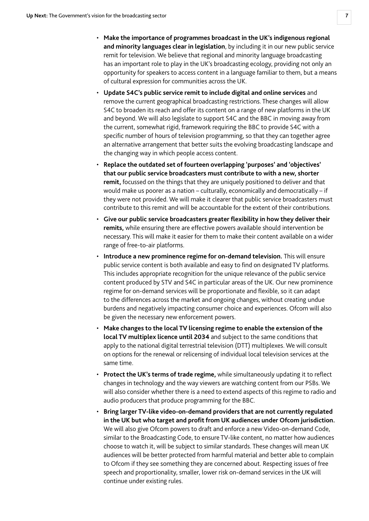- **Make the importance of programmes broadcast in the UK's indigenous regional and minority languages clear in legislation**, by including it in our new public service remit for television. We believe that regional and minority language broadcasting has an important role to play in the UK's broadcasting ecology, providing not only an opportunity for speakers to access content in a language familiar to them, but a means of cultural expression for communities across the UK.
- **Update S4C's public service remit to include digital and online services** and remove the current geographical broadcasting restrictions. These changes will allow S4C to broaden its reach and offer its content on a range of new platforms in the UK and beyond. We will also legislate to support S4C and the BBC in moving away from the current, somewhat rigid, framework requiring the BBC to provide S4C with a specific number of hours of television programming, so that they can together agree an alternative arrangement that better suits the evolving broadcasting landscape and the changing way in which people access content.
- **Replace the outdated set of fourteen overlapping 'purposes' and 'objectives' that our public service broadcasters must contribute to with a new, shorter remit,** focussed on the things that they are uniquely positioned to deliver and that would make us poorer as a nation – culturally, economically and democratically – if they were not provided. We will make it clearer that public service broadcasters must contribute to this remit and will be accountable for the extent of their contributions.
- **Give our public service broadcasters greater flexibility in how they deliver their remits,** while ensuring there are effective powers available should intervention be necessary. This will make it easier for them to make their content available on a wider range of free-to-air platforms.
- **Introduce a new prominence regime for on-demand television.** This will ensure public service content is both available and easy to find on designated TV platforms. This includes appropriate recognition for the unique relevance of the public service content produced by STV and S4C in particular areas of the UK. Our new prominence regime for on-demand services will be proportionate and flexible, so it can adapt to the differences across the market and ongoing changes, without creating undue burdens and negatively impacting consumer choice and experiences. Ofcom will also be given the necessary new enforcement powers.
- **Make changes to the local TV licensing regime to enable the extension of the local TV multiplex licence until 2034** and subject to the same conditions that apply to the national digital terrestrial television (DTT) multiplexes. We will consult on options for the renewal or relicensing of individual local television services at the same time.
- **Protect the UK's terms of trade regime,** while simultaneously updating it to reflect changes in technology and the way viewers are watching content from our PSBs. We will also consider whether there is a need to extend aspects of this regime to radio and audio producers that produce programming for the BBC.
- **Bring larger TV-like video-on-demand providers that are not currently regulated in the UK but who target and profit from UK audiences under Ofcom jurisdiction.**  We will also give Ofcom powers to draft and enforce a new Video-on-demand Code, similar to the Broadcasting Code, to ensure TV-like content, no matter how audiences choose to watch it, will be subject to similar standards. These changes will mean UK audiences will be better protected from harmful material and better able to complain to Ofcom if they see something they are concerned about. Respecting issues of free speech and proportionality, smaller, lower risk on-demand services in the UK will continue under existing rules.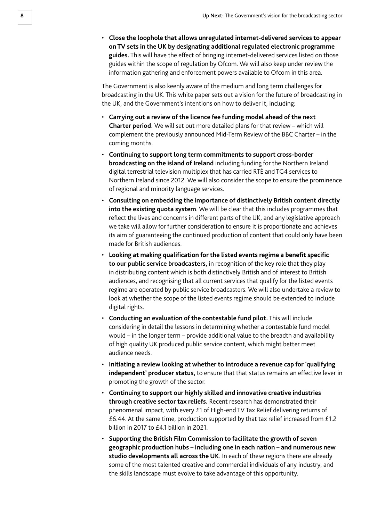• **Close the loophole that allows unregulated internet-delivered services to appear on TV sets in the UK by designating additional regulated electronic programme guides.** This will have the effect of bringing internet-delivered services listed on those guides within the scope of regulation by Ofcom. We will also keep under review the information gathering and enforcement powers available to Ofcom in this area.

The Government is also keenly aware of the medium and long term challenges for broadcasting in the UK. This white paper sets out a vision for the future of broadcasting in the UK, and the Government's intentions on how to deliver it, including:

- **Carrying out a review of the licence fee funding model ahead of the next Charter period.** We will set out more detailed plans for that review – which will complement the previously announced Mid-Term Review of the BBC Charter – in the coming months.
- **Continuing to support long term commitments to support cross-border broadcasting on the island of Ireland** including funding for the Northern Ireland digital terrestrial television multiplex that has carried RTÉ and TG4 services to Northern Ireland since 2012. We will also consider the scope to ensure the prominence of regional and minority language services.
- **Consulting on embedding the importance of distinctively British content directly into the existing quota system**. We will be clear that this includes programmes that reflect the lives and concerns in different parts of the UK, and any legislative approach we take will allow for further consideration to ensure it is proportionate and achieves its aim of guaranteeing the continued production of content that could only have been made for British audiences.
- **Looking at making qualification for the listed events regime a benefit specific to our public service broadcasters,** in recognition of the key role that they play in distributing content which is both distinctively British and of interest to British audiences, and recognising that all current services that qualify for the listed events regime are operated by public service broadcasters. We will also undertake a review to look at whether the scope of the listed events regime should be extended to include digital rights.
- **Conducting an evaluation of the contestable fund pilot.** This will include considering in detail the lessons in determining whether a contestable fund model would – in the longer term – provide additional value to the breadth and availability of high quality UK produced public service content, which might better meet audience needs.
- **Initiating a review looking at whether to introduce a revenue cap for 'qualifying independent' producer status,** to ensure that that status remains an effective lever in promoting the growth of the sector.
- **Continuing to support our highly skilled and innovative creative industries through creative sector tax reliefs.** Recent research has demonstrated their phenomenal impact, with every £1 of High-end TV Tax Relief delivering returns of £6.44. At the same time, production supported by that tax relief increased from £1.2 billion in 2017 to £4.1 billion in 2021.
- **Supporting the British Film Commission to facilitate the growth of seven geographic production hubs – including one in each nation – and numerous new studio developments all across the UK**. In each of these regions there are already some of the most talented creative and commercial individuals of any industry, and the skills landscape must evolve to take advantage of this opportunity.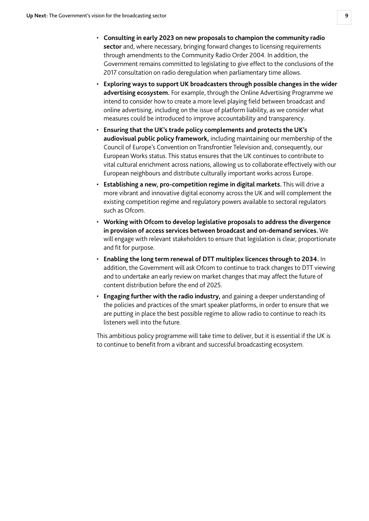- **Consulting in early 2023 on new proposals to champion the community radio sector** and, where necessary, bringing forward changes to licensing requirements through amendments to the Community Radio Order 2004. In addition, the Government remains committed to legislating to give effect to the conclusions of the 2017 consultation on radio deregulation when parliamentary time allows.
- **Exploring ways to support UK broadcasters through possible changes in the wider advertising ecosystem.** For example, through the Online Advertising Programme we intend to consider how to create a more level playing field between broadcast and online advertising, including on the issue of platform liability, as we consider what measures could be introduced to improve accountability and transparency.
- **Ensuring that the UK's trade policy complements and protects the UK's audiovisual public policy framework,** including maintaining our membership of the Council of Europe's Convention on Transfrontier Television and, consequently, our European Works status. This status ensures that the UK continues to contribute to vital cultural enrichment across nations, allowing us to collaborate effectively with our European neighbours and distribute culturally important works across Europe.
- **Establishing a new, pro-competition regime in digital markets.** This will drive a more vibrant and innovative digital economy across the UK and will complement the existing competition regime and regulatory powers available to sectoral regulators such as Ofcom.
- **Working with Ofcom to develop legislative proposals to address the divergence in provision of access services between broadcast and on-demand services.** We will engage with relevant stakeholders to ensure that legislation is clear, proportionate and fit for purpose.
- **Enabling the long term renewal of DTT multiplex licences through to 2034.** In addition, the Government will ask Ofcom to continue to track changes to DTT viewing and to undertake an early review on market changes that may affect the future of content distribution before the end of 2025.
- **Engaging further with the radio industry,** and gaining a deeper understanding of the policies and practices of the smart speaker platforms, in order to ensure that we are putting in place the best possible regime to allow radio to continue to reach its listeners well into the future.

This ambitious policy programme will take time to deliver, but it is essential if the UK is to continue to benefit from a vibrant and successful broadcasting ecosystem.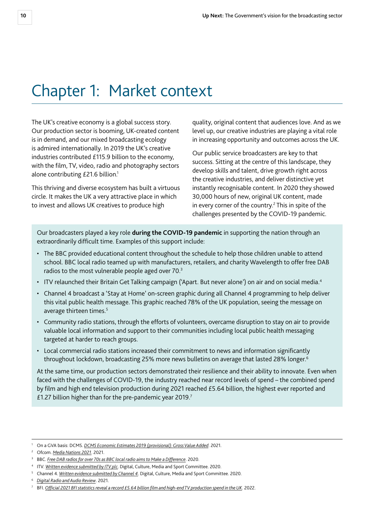# <span id="page-10-0"></span>Chapter 1: Market context

The UK's creative economy is a global success story. Our production sector is booming, UK-created content is in demand, and our mixed broadcasting ecology is admired internationally. In 2019 the UK's creative industries contributed £115.9 billion to the economy, with the film, TV, video, radio and photography sectors alone contributing £21.6 billion.<sup>1</sup>

This thriving and diverse ecosystem has built a virtuous circle. It makes the UK a very attractive place in which to invest and allows UK creatives to produce high

quality, original content that audiences love. And as we level up, our creative industries are playing a vital role in increasing opportunity and outcomes across the UK.

Our public service broadcasters are key to that success. Sitting at the centre of this landscape, they develop skills and talent, drive growth right across the creative industries, and deliver distinctive yet instantly recognisable content. In 2020 they showed 30,000 hours of new, original UK content, made in every corner of the country.<sup>2</sup> This in spite of the challenges presented by the COVID-19 pandemic.

Our broadcasters played a key role **during the COVID-19 pandemic** in supporting the nation through an extraordinarily difficult time. Examples of this support include:

- The BBC provided educational content throughout the schedule to help those children unable to attend school. BBC local radio teamed up with manufacturers, retailers, and charity Wavelength to offer free DAB radios to the most vulnerable people aged over 70.3
- ITV relaunched their Britain Get Talking campaign ('Apart. But never alone') on air and on social media.<sup>4</sup>
- Channel 4 broadcast a 'Stay at Home' on-screen graphic during all Channel 4 programming to help deliver this vital public health message. This graphic reached 78% of the UK population, seeing the message on average thirteen times.<sup>5</sup>
- Community radio stations, through the efforts of volunteers, overcame disruption to stay on air to provide valuable local information and support to their communities including local public health messaging targeted at harder to reach groups.
- Local commercial radio stations increased their commitment to news and information significantly throughout lockdown, broadcasting 25% more news bulletins on average that lasted 28% longer.<sup>6</sup>

At the same time, our production sectors demonstrated their resilience and their ability to innovate. Even when faced with the challenges of COVID-19, the industry reached near record levels of spend – the combined spend by film and high end television production during 2021 reached £5.64 billion, the highest ever reported and £1.27 billion higher than for the pre-pandemic year 2019.7

<sup>1</sup> On a GVA basis: DCMS. *[DCMS Economic Estimates 2019 \(provisional\): Gross Value Added](https://www.gov.uk/government/statistics/dcms-economic-estimates-2019-gross-value-added/dcms-economic-estimates-2019-provisional-gross-value-added)*. 2021.

<sup>2</sup> Ofcom. *[Media Nations 2021](https://www.ofcom.org.uk/research-and-data/tv-radio-and-on-demand/media-nations-reports/media-nations-2021)*. 2021.

<sup>3</sup> BBC. *[Free DAB radios for over 70s as BBC local radio aims to Make a Difference](https://www.bbc.co.uk/mediacentre/latestnews/2020/dab-radios-coronavirus)*. 2020.

<sup>4</sup> ITV. *[Written evidence submitted by ITV plc](https://committees.parliament.uk/writtenevidence/6466/html/)*. Digital, Culture, Media and Sport Committee. 2020.

<sup>5</sup> Channel 4. *[Written evidence submitted by Channel 4](https://committees.parliament.uk/writtenevidence/6952/html/)*. Digital, Culture, Media and Sport Committee. 2020.

<sup>6</sup> *[Digital Radio and Audio Review](https://www.gov.uk/government/publications/digital-radio-and-audio-review)*. 2021.

<sup>7</sup> BFI. *[Official 2021 BFI statistics reveal a record £5.64 billion film and high-end TV production spend in the UK](https://www.bfi.org.uk/news/official-2021-bfi-statistics)*. 2022.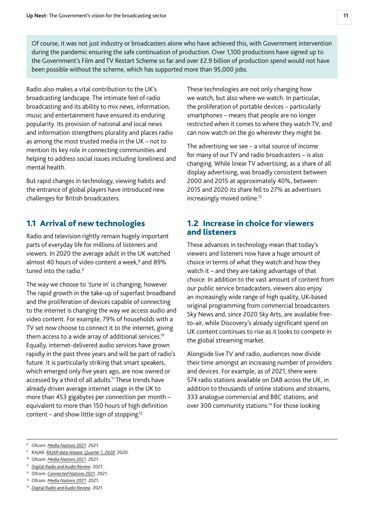<span id="page-11-0"></span>Of course, it was not just industry or broadcasters alone who have achieved this, with Government intervention during the pandemic ensuring the safe continuation of production. Over 1,100 productions have signed up to the Government's Film and TV Restart Scheme so far and over £2.9 billion of production spend would not have been possible without the scheme, which has supported more than 95,000 jobs.

Radio also makes a vital contribution to the UK's broadcasting landscape. The intimate feel of radio broadcasting and its ability to mix news, information, music and entertainment have ensured its enduring popularity. Its provision of national and local news and information strengthens plurality and places radio as among the most trusted media in the UK – not to mention its key role in connecting communities and helping to address social issues including loneliness and mental health.

But rapid changes in technology, viewing habits and the entrance of global players have introduced new challenges for British broadcasters.

# 1.1 Arrival of new technologies

Radio and television rightly remain hugely important parts of everyday life for millions of listeners and viewers. In 2020 the average adult in the UK watched almost 40 hours of video content a week,<sup>8</sup> and 89% tuned into the radio.<sup>9</sup>

The way we choose to 'tune in' is changing, however. The rapid growth in the take-up of superfast broadband and the proliferation of devices capable of connecting to the internet is changing the way we access audio and video content. For example, 79% of households with a TV set now choose to connect it to the internet, giving them access to a wide array of additional services.<sup>10</sup> Equally, internet-delivered audio services have grown rapidly in the past three years and will be part of radio's future. It is particularly striking that smart speakers, which emerged only five years ago, are now owned or accessed by a third of all adults.<sup>11</sup> These trends have already driven average internet usage in the UK to more than 453 gigabytes per connection per month – equivalent to more than 150 hours of high definition content – and show little sign of stopping.12

These technologies are not only changing how we watch, but also where we watch. In particular, the proliferation of portable devices – particularly smartphones – means that people are no longer restricted when it comes to where they watch TV, and can now watch on the go wherever they might be.

The advertising we see – a vital source of income for many of our TV and radio broadcasters – is also changing. While linear TV advertising, as a share of all display advertising, was broadly consistent between 2000 and 2015 at approximately 40%, between 2015 and 2020 its share fell to 27% as advertisers increasingly moved online.<sup>13</sup>

### 1.2 Increase in choice for viewers and listeners

These advances in technology mean that today's viewers and listeners now have a huge amount of choice in terms of what they watch and how they watch it – and they are taking advantage of that choice. In addition to the vast amount of content from our public service broadcasters, viewers also enjoy an increasingly wide range of high quality, UK-based original programming from commercial broadcasters. Sky News and, since 2020 Sky Arts, are available freeto-air, while Discovery's already significant spend on UK content continues to rise as it looks to compete in the global streaming market.

Alongside live TV and radio, audiences now divide their time amongst an increasing number of providers and devices. For example, as of 2021, there were 574 radio stations available on DAB across the UK, in addition to thousands of online stations and streams, 333 analogue commercial and BBC stations, and over 300 community stations.<sup>14</sup> For those looking

<sup>13</sup> Ofcom. *[Media Nations 2021](https://www.ofcom.org.uk/research-and-data/tv-radio-and-on-demand/media-nations-reports/media-nations-2021)*. 2021.

<sup>8</sup> Ofcom. *[Media Nations 2021](https://www.ofcom.org.uk/research-and-data/tv-radio-and-on-demand/media-nations-reports/media-nations-2021)*. 2021.

<sup>9</sup> RAJAR. *[RAJAR data release: Quarter 1, 2020](https://www.rajar.co.uk/docs/news/RAJAR_DataRelease_InfographicQ12020.pdf)*. 2020.

<sup>10</sup> Ofcom. *[Media Nations 2021](https://www.ofcom.org.uk/research-and-data/tv-radio-and-on-demand/media-nations-reports/media-nations-2021)*. 2021.

<sup>11</sup> *[Digital Radio and Audio Review](https://www.gov.uk/government/publications/digital-radio-and-audio-review)*. 2021.

<sup>12</sup> Ofcom. *[Connected Nations 2021](https://www.ofcom.org.uk/research-and-data/multi-sector-research/infrastructure-research/connected-nations-2021)*. 2021.

<sup>14</sup> *[Digital Radio and Audio Review](https://www.gov.uk/government/publications/digital-radio-and-audio-review)*. 2021.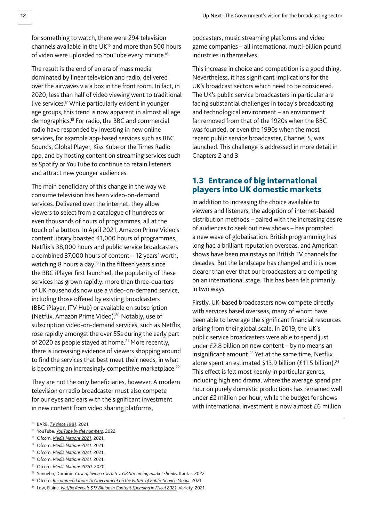<span id="page-12-0"></span>for something to watch, there were 294 television channels available in the UK $15$  and more than 500 hours of video were uploaded to YouTube every minute.<sup>16</sup>

The result is the end of an era of mass media dominated by linear television and radio, delivered over the airwaves via a box in the front room. In fact, in 2020, less than half of video viewing went to traditional live services.17 While particularly evident in younger age groups, this trend is now apparent in almost all age demographics.18 For radio, the BBC and commercial radio have responded by investing in new online services, for example app-based services such as BBC Sounds, Global Player, Kiss Kube or the Times Radio app, and by hosting content on streaming services such as Spotify or YouTube to continue to retain listeners and attract new younger audiences.

The main beneficiary of this change in the way we consume television has been video-on-demand services. Delivered over the internet, they allow viewers to select from a catalogue of hundreds or even thousands of hours of programmes, all at the touch of a button. In April 2021, Amazon Prime Video's content library boasted 41,000 hours of programmes, Netflix's 38,000 hours and public service broadcasters a combined 37,000 hours of content – 12 years' worth, watching 8 hours a day.<sup>19</sup> In the fifteen years since the BBC iPlayer first launched, the popularity of these services has grown rapidly: more than three-quarters of UK households now use a video-on-demand service, including those offered by existing broadcasters (BBC iPlayer, ITV Hub) or available on subscription (Netflix, Amazon Prime Video).<sup>20</sup> Notably, use of subscription video-on-demand services, such as Netflix, rose rapidly amongst the over 55s during the early part of 2020 as people stayed at home.<sup>21</sup> More recently, there is increasing evidence of viewers shopping around to find the services that best meet their needs, in what is becoming an increasingly competitive marketplace.<sup>22</sup>

They are not the only beneficiaries, however. A modern television or radio broadcaster must also compete for our eyes and ears with the significant investment in new content from video sharing platforms,

podcasters, music streaming platforms and video game companies – all international multi-billion pound industries in themselves.

This increase in choice and competition is a good thing. Nevertheless, it has significant implications for the UK's broadcast sectors which need to be considered. The UK's public service broadcasters in particular are facing substantial challenges in today's broadcasting and technological environment – an environment far removed from that of the 1920s when the BBC was founded, or even the 1990s when the most recent public service broadcaster, Channel 5, was launched. This challenge is addressed in more detail in Chapters 2 and 3.

#### 1.3 Entrance of big international players into UK domestic markets

In addition to increasing the choice available to viewers and listeners, the adoption of internet-based distribution methods – paired with the increasing desire of audiences to seek out new shows – has prompted a new wave of globalisation. British programming has long had a brilliant reputation overseas, and American shows have been mainstays on British TV channels for decades. But the landscape has changed and it is now clearer than ever that our broadcasters are competing on an international stage. This has been felt primarily in two ways.

Firstly, UK-based broadcasters now compete directly with services based overseas, many of whom have been able to leverage the significant financial resources arising from their global scale. In 2019, the UK's public service broadcasters were able to spend just under £2.8 billion on new content – by no means an insignificant amount.<sup>23</sup> Yet at the same time, Netflix alone spent an estimated \$13.9 billion (£11.5 billion).<sup>24</sup> This effect is felt most keenly in particular genres, including high end drama, where the average spend per hour on purely domestic productions has remained well under £2 million per hour, while the budget for shows with international investment is now almost £6 million

<sup>15</sup> BARB. *[TV since 1981](https://www.barb.co.uk/resources/tv-facts/tv-since-1981/2021/reported/)*. 2021.

<sup>16</sup> YouTube. *[YouTube by the numbers](https://blog.youtube/press/)*. 2022.

<sup>17</sup> Ofcom. *[Media Nations 2021](https://www.ofcom.org.uk/research-and-data/tv-radio-and-on-demand/media-nations-reports/media-nations-2021)*. 2021.

<sup>18</sup> Ofcom. *[Media Nations 2021](https://www.ofcom.org.uk/research-and-data/tv-radio-and-on-demand/media-nations-reports/media-nations-2021)*. 2021.

<sup>19</sup> Ofcom. *[Media Nations 2021](https://www.ofcom.org.uk/research-and-data/tv-radio-and-on-demand/media-nations-reports/media-nations-2021)*. 2021.

<sup>20</sup> Ofcom. *[Media Nations 2021](https://www.ofcom.org.uk/research-and-data/tv-radio-and-on-demand/media-nations-reports/media-nations-2021)*. 2021.

<sup>21</sup> Ofcom. *[Media Nations 2020](https://www.ofcom.org.uk/research-and-data/tv-radio-and-on-demand/media-nations-reports/media-nations-2020)*. 2020.

<sup>22</sup> Sunnebo, Dominic. *[Cost of living crisis bites: GB Streaming market shrinks](https://www.kantar.com/uki/inspiration/technology/cost-of-living-crisis-bites-uk-streaming-market-shrinks)*. Kantar. 2022.

<sup>&</sup>lt;sup>23</sup> Ofcom. *[Recommendations to Government on the Future of Public Service Media](https://www.smallscreenbigdebate.co.uk/__data/assets/pdf_file/0023/221954/statement-future-of-public-service-media.pdf)*. 2021.

<sup>&</sup>lt;sup>24</sup> Low, Elaine. *[Netflix Reveals \\$17 Billion in Content Spending in Fiscal 2021](https://variety.com/2021/tv/news/netflix-2021-content-spend-17-billion-1234955953/)*. Variety. 2021.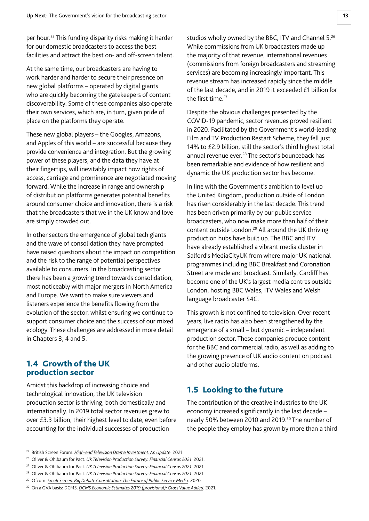<span id="page-13-0"></span>per hour.25 This funding disparity risks making it harder for our domestic broadcasters to access the best facilities and attract the best on- and off-screen talent.

At the same time, our broadcasters are having to work harder and harder to secure their presence on new global platforms – operated by digital giants who are quickly becoming the gatekeepers of content discoverability. Some of these companies also operate their own services, which are, in turn, given pride of place on the platforms they operate.

These new global players – the Googles, Amazons, and Apples of this world – are successful because they provide convenience and integration. But the growing power of these players, and the data they have at their fingertips, will inevitably impact how rights of access, carriage and prominence are negotiated moving forward. While the increase in range and ownership of distribution platforms generates potential benefits around consumer choice and innovation, there is a risk that the broadcasters that we in the UK know and love are simply crowded out.

In other sectors the emergence of global tech giants and the wave of consolidation they have prompted have raised questions about the impact on competition and the risk to the range of potential perspectives available to consumers. In the broadcasting sector there has been a growing trend towards consolidation, most noticeably with major mergers in North America and Europe. We want to make sure viewers and listeners experience the benefits flowing from the evolution of the sector, whilst ensuring we continue to support consumer choice and the success of our mixed ecology. These challenges are addressed in more detail in Chapters 3, 4 and 5.

#### 1.4 Growth of the UK production sector

Amidst this backdrop of increasing choice and technological innovation, the UK television production sector is thriving, both domestically and internationally. In 2019 total sector revenues grew to over £3.3 billion, their highest level to date, even before accounting for the individual successes of production

studios wholly owned by the BBC, ITV and Channel 5.<sup>26</sup> While commissions from UK broadcasters made up the majority of that revenue, international revenues (commissions from foreign broadcasters and streaming services) are becoming increasingly important. This revenue stream has increased rapidly since the middle of the last decade, and in 2019 it exceeded £1 billion for the first time.<sup>27</sup>

Despite the obvious challenges presented by the COVID-19 pandemic, sector revenues proved resilient in 2020. Facilitated by the Government's world-leading Film and TV Production Restart Scheme, they fell just 14% to £2.9 billion, still the sector's third highest total annual revenue ever.<sup>28</sup> The sector's bounceback has been remarkable and evidence of how resilient and dynamic the UK production sector has become.

In line with the Government's ambition to level up the United Kingdom, production outside of London has risen considerably in the last decade. This trend has been driven primarily by our public service broadcasters, who now make more than half of their content outside London.<sup>29</sup> All around the UK thriving production hubs have built up. The BBC and ITV have already established a vibrant media cluster in Salford's MediaCityUK from where major UK national programmes including BBC Breakfast and Coronation Street are made and broadcast. Similarly, Cardiff has become one of the UK's largest media centres outside London, hosting BBC Wales, ITV Wales and Welsh language broadcaster S4C.

This growth is not confined to television. Over recent years, live radio has also been strengthened by the emergence of a small – but dynamic – independent production sector. These companies produce content for the BBC and commercial radio, as well as adding to the growing presence of UK audio content on podcast and other audio platforms.

# 1.5 Looking to the future

The contribution of the creative industries to the UK economy increased significantly in the last decade – nearly 50% between 2010 and 2019.30 The number of the people they employ has grown by more than a third

<sup>25</sup> British Screen Forum. *[High-end Television Drama Investment: An Update](https://britishscreenforum.co.uk/wp-content/uploads/2021/04/British-Screen-Forum-High-end-Television-Drama-An-Update.pdf)*. 2021

<sup>26</sup> Oliver & Ohlbaum for Pact. *[UK Television Production Survey: Financial Census 2021](https://www.pact.co.uk/static/84d7f99f-a9fb-403d-a467ff1a7ea85ec4/Oliver-and-Ohlbaum-Pact-Census-2021-FINAL.pdf)*. 2021.

<sup>27</sup> Oliver & Ohlbaum for Pact. *[UK Television Production Survey: Financial Census 2021](https://www.pact.co.uk/static/84d7f99f-a9fb-403d-a467ff1a7ea85ec4/Oliver-and-Ohlbaum-Pact-Census-2021-FINAL.pdf)*. 2021.

<sup>28</sup> Oliver & Ohlbaum for Pact. *[UK Television Production Survey: Financial Census 2021](https://www.pact.co.uk/static/84d7f99f-a9fb-403d-a467ff1a7ea85ec4/Oliver-and-Ohlbaum-Pact-Census-2021-FINAL.pdf)*. 2021.

<sup>29</sup> Ofcom. *[Small Screen: Big Debate Consultation: The Future of Public Service Media](https://www.smallscreenbigdebate.co.uk/__data/assets/pdf_file/0032/208769/consultation-future-of-public-service-media.pdf)*. 2020.

<sup>30</sup> On a GVA basis: DCMS. *[DCMS Economic Estimates 2019 \(provisional\): Gross Value Added](https://www.gov.uk/government/statistics/dcms-economic-estimates-2019-gross-value-added/dcms-economic-estimates-2019-provisional-gross-value-added)*. 2021.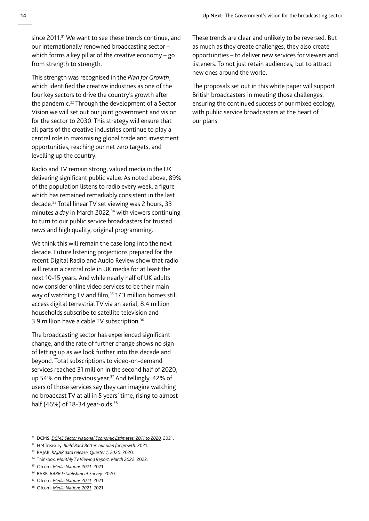since 2011.<sup>31</sup> We want to see these trends continue, and our internationally renowned broadcasting sector – which forms a key pillar of the creative economy – go from strength to strength.

This strength was recognised in the *Plan for Growth*, which identified the creative industries as one of the four key sectors to drive the country's growth after the pandemic.32 Through the development of a Sector Vision we will set out our joint government and vision for the sector to 2030. This strategy will ensure that all parts of the creative industries continue to play a central role in maximising global trade and investment opportunities, reaching our net zero targets, and levelling up the country.

Radio and TV remain strong, valued media in the UK delivering significant public value. As noted above, 89% of the population listens to radio every week, a figure which has remained remarkably consistent in the last decade.33 Total linear TV set viewing was 2 hours, 33 minutes *a day* in March 2022,<sup>34</sup> with viewers continuing to turn to our public service broadcasters for trusted news and high quality, original programming.

We think this will remain the case long into the next decade. Future listening projections prepared for the recent Digital Radio and Audio Review show that radio will retain a central role in UK media for at least the next 10-15 years. And while nearly half of UK adults now consider online video services to be their main way of watching TV and film,<sup>35</sup> 17.3 million homes still access digital terrestrial TV via an aerial, 8.4 million households subscribe to satellite television and 3.9 million have a cable TV subscription.<sup>36</sup>

The broadcasting sector has experienced significant change, and the rate of further change shows no sign of letting up as we look further into this decade and beyond. Total subscriptions to video-on-demand services reached 31 million in the second half of 2020, up 54% on the previous year.<sup>37</sup> And tellingly, 42% of users of those services say they can imagine watching no broadcast TV at all in 5 years' time, rising to almost half (46%) of 18-34 year-olds.<sup>38</sup>

These trends are clear and unlikely to be reversed. But as much as they create challenges, they also create opportunities – to deliver new services for viewers and listeners. To not just retain audiences, but to attract new ones around the world.

The proposals set out in this white paper will support British broadcasters in meeting those challenges, ensuring the continued success of our mixed ecology, with public service broadcasters at the heart of our plans.

<sup>37</sup> Ofcom. *[Media Nations 2021](https://www.ofcom.org.uk/research-and-data/tv-radio-and-on-demand/media-nations-reports/media-nations-2021)*. 2021.

<sup>&</sup>lt;sup>31</sup> DCMS. *[DCMS Sector National Economic Estimates: 2011 to 2020.](https://www.gov.uk/government/statistics/dcms-sector-national-economic-estimates-2011-to-2020)* 2021.

<sup>32</sup> HM Treasury. *[Build Back Better: our plan for growth](https://www.gov.uk/government/publications/build-back-better-our-plan-for-growth)*. 2021.

<sup>33</sup> RAJAR. *[RAJAR data release: Quarter 1, 2020](https://www.rajar.co.uk/docs/news/RAJAR_DataRelease_InfographicQ12020.pdf)*. 2020.

<sup>34</sup> Thinkbox. *[Monthly TV Viewing Report: March 2022](https://www.thinkbox.tv/research/nickable-charts/tv-viewing-and-audiences/monthly-report/)*. 2022.

<sup>35</sup> Ofcom. *[Media Nations 2021](https://www.ofcom.org.uk/research-and-data/tv-radio-and-on-demand/media-nations-reports/media-nations-2021)*. 2021.

<sup>36</sup> BARB. *[BARB Establishment Survey](https://www.barb.co.uk/download/?file=/wp-content/uploads/2020/11/BARB-Establishment-Survey-Annual-Data-Report-Volume-1-TV-Network-and-Appendices-Oct-2019-to-Sept-2020.pdf)*. 2020.

<sup>38</sup> Ofcom. *[Media Nations 2021](https://www.ofcom.org.uk/research-and-data/tv-radio-and-on-demand/media-nations-reports/media-nations-2021)*. 2021.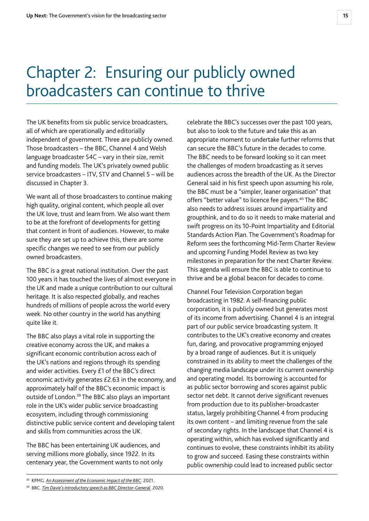# <span id="page-15-0"></span>Chapter 2: Ensuring our publicly owned broadcasters can continue to thrive

The UK benefits from six public service broadcasters, all of which are operationally and editorially independent of government. Three are publicly owned. Those broadcasters – the BBC, Channel 4 and Welsh language broadcaster S4C – vary in their size, remit and funding models. The UK's privately owned public service broadcasters – ITV, STV and Channel 5 – will be discussed in Chapter 3.

We want all of those broadcasters to continue making high quality, original content, which people all over the UK love, trust and learn from. We also want them to be at the forefront of developments for getting that content in front of audiences. However, to make sure they are set up to achieve this, there are some specific changes we need to see from our publicly owned broadcasters.

The BBC is a great national institution. Over the past 100 years it has touched the lives of almost everyone in the UK and made a unique contribution to our cultural heritage. It is also respected globally, and reaches hundreds of millions of people across the world every week. No other country in the world has anything quite like it.

The BBC also plays a vital role in supporting the creative economy across the UK, and makes a significant economic contribution across each of the UK's nations and regions through its spending and wider activities. Every £1 of the BBC's direct economic activity generates £2.63 in the economy, and approximately half of the BBC's economic impact is outside of London.39 The BBC also plays an important role in the UK's wider public service broadcasting ecosystem, including through commissioning distinctive public service content and developing talent and skills from communities across the UK.

The BBC has been entertaining UK audiences, and serving millions more globally, since 1922. In its centenary year, the Government wants to not only celebrate the BBC's successes over the past 100 years, but also to look to the future and take this as an appropriate moment to undertake further reforms that can secure the BBC's future in the decades to come. The BBC needs to be forward looking so it can meet the challenges of modern broadcasting as it serves audiences across the breadth of the UK. As the Director General said in his first speech upon assuming his role, the BBC must be a "simpler, leaner organisation" that offers "better value" to licence fee payers.<sup>40</sup> The BBC also needs to address issues around impartiality and groupthink, and to do so it needs to make material and swift progress on its 10-Point Impartiality and Editorial Standards Action Plan. The Government's Roadmap for Reform sees the forthcoming Mid-Term Charter Review and upcoming Funding Model Review as two key milestones in preparation for the next Charter Review. This agenda will ensure the BBC is able to continue to thrive and be a global beacon for decades to come.

Channel Four Television Corporation began broadcasting in 1982. A self-financing public corporation, it is publicly owned but generates most of its income from advertising. Channel 4 is an integral part of our public service broadcasting system. It contributes to the UK's creative economy and creates fun, daring, and provocative programming enjoyed by a broad range of audiences. But it is uniquely constrained in its ability to meet the challenges of the changing media landscape under its current ownership and operating model. Its borrowing is accounted for as public sector borrowing and scores against public sector net debt. It cannot derive significant revenues from production due to its publisher-broadcaster status, largely prohibiting Channel 4 from producing its own content – and limiting revenue from the sale of secondary rights. In the landscape that Channel 4 is operating within, which has evolved significantly and continues to evolve, these constraints inhibit its ability to grow and succeed. Easing these constraints within public ownership could lead to increased public sector

<sup>39</sup> KPMG. *[An Assessment of the Economic Impact of the BBC](http://downloads.bbc.co.uk/aboutthebbc/reports/reports/kpmg-economic-impact.pdf)*. 2021.

<sup>40</sup> BBC. *[Tim Davie's introductory speech as BBC Director-General](https://www.bbc.co.uk/mediacentre/speeches/2020/tim-davie-intro-speech)*. 2020.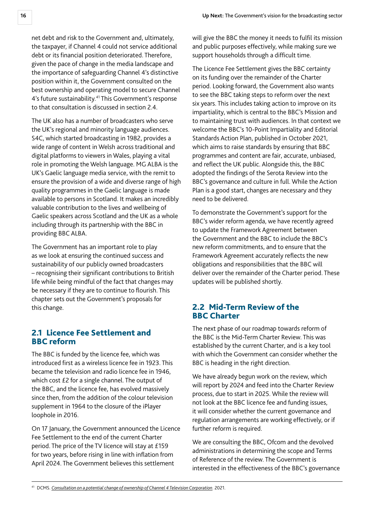<span id="page-16-0"></span>net debt and risk to the Government and, ultimately, the taxpayer, if Channel 4 could not service additional debt or its financial position deteriorated. Therefore, given the pace of change in the media landscape and the importance of safeguarding Channel 4's distinctive position within it, the Government consulted on the best ownership and operating model to secure Channel 4's future sustainability.<sup>41</sup> This Government's response to that consultation is discussed in section 2.4.

The UK also has a number of broadcasters who serve the UK's regional and minority language audiences. S4C, which started broadcasting in 1982, provides a wide range of content in Welsh across traditional and digital platforms to viewers in Wales, playing a vital role in promoting the Welsh language. MG ALBA is the UK's Gaelic language media service, with the remit to ensure the provision of a wide and diverse range of high quality programmes in the Gaelic language is made available to persons in Scotland. It makes an incredibly valuable contribution to the lives and wellbeing of Gaelic speakers across Scotland and the UK as a whole including through its partnership with the BBC in providing BBC ALBA.

The Government has an important role to play as we look at ensuring the continued success and sustainability of our publicly owned broadcasters – recognising their significant contributions to British life while being mindful of the fact that changes may be necessary if they are to continue to flourish. This chapter sets out the Government's proposals for this change.

# 2.1 Licence Fee Settlement and BBC reform

The BBC is funded by the licence fee, which was introduced first as a wireless licence fee in 1923. This became the television and radio licence fee in 1946, which cost £2 for a single channel. The output of the BBC, and the licence fee, has evolved massively since then, from the addition of the colour television supplement in 1964 to the closure of the iPlayer loophole in 2016.

On 17 January, the Government announced the Licence Fee Settlement to the end of the current Charter period. The price of the TV licence will stay at £159 for two years, before rising in line with inflation from April 2024. The Government believes this settlement

will give the BBC the money it needs to fulfil its mission and public purposes effectively, while making sure we support households through a difficult time.

The Licence Fee Settlement gives the BBC certainty on its funding over the remainder of the Charter period. Looking forward, the Government also wants to see the BBC taking steps to reform over the next six years. This includes taking action to improve on its impartiality, which is central to the BBC's Mission and to maintaining trust with audiences. In that context we welcome the BBC's 10-Point Impartiality and Editorial Standards Action Plan, published in October 2021, which aims to raise standards by ensuring that BBC programmes and content are fair, accurate, unbiased, and reflect the UK public. Alongside this, the BBC adopted the findings of the Serota Review into the BBC's governance and culture in full. While the Action Plan is a good start, changes are necessary and they need to be delivered.

To demonstrate the Government's support for the BBC's wider reform agenda, we have recently agreed to update the Framework Agreement between the Government and the BBC to include the BBC's new reform commitments, and to ensure that the Framework Agreement accurately reflects the new obligations and responsibilities that the BBC will deliver over the remainder of the Charter period. These updates will be published shortly.

# 2.2 Mid-Term Review of the BBC Charter

The next phase of our roadmap towards reform of the BBC is the Mid-Term Charter Review. This was established by the current Charter, and is a key tool with which the Government can consider whether the BBC is heading in the right direction.

We have already begun work on the review, which will report by 2024 and feed into the Charter Review process, due to start in 2025. While the review will not look at the BBC licence fee and funding issues, it will consider whether the current governance and regulation arrangements are working effectively, or if further reform is required.

We are consulting the BBC, Ofcom and the devolved administrations in determining the scope and Terms of Reference of the review. The Government is interested in the effectiveness of the BBC's governance

<sup>41</sup> DCMS. *[Consultation on a potential change of ownership of Channel 4 Television Corporation](https://www.gov.uk/government/consultations/consultation-on-a-change-of-ownership-of-channel-4-television-corporation/consultation-on-a-potential-change-of-ownership-of-channel-4-television-corporation)*. 2021.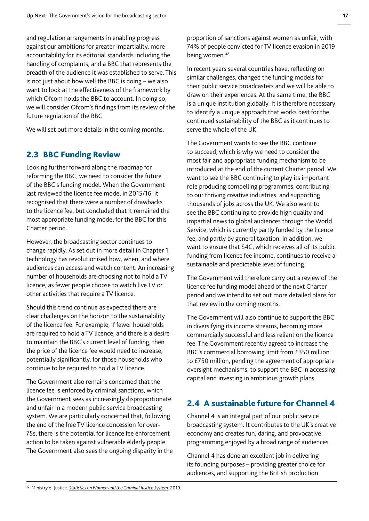<span id="page-17-0"></span>and regulation arrangements in enabling progress against our ambitions for greater impartiality, more accountability for its editorial standards including the handling of complaints, and a BBC that represents the breadth of the audience it was established to serve. This is not just about how well the BBC is doing – we also want to look at the effectiveness of the framework by which Ofcom holds the BBC to account. In doing so, we will consider Ofcom's findings from its review of the future regulation of the BBC.

We will set out more details in the coming months.

#### 2.3 BBC Funding Review

Looking further forward along the roadmap for reforming the BBC, we need to consider the future of the BBC's funding model. When the Government last reviewed the licence fee model in 2015/16, it recognised that there were a number of drawbacks to the licence fee, but concluded that it remained the most appropriate funding model for the BBC for this Charter period.

However, the broadcasting sector continues to change rapidly. As set out in more detail in Chapter 1, technology has revolutionised how, when, and where audiences can access and watch content. An increasing number of households are choosing not to hold a TV licence, as fewer people choose to watch live TV or other activities that require a TV licence.

Should this trend continue as expected there are clear challenges on the horizon to the sustainability of the licence fee. For example, if fewer households are required to hold a TV licence, and there is a desire to maintain the BBC's current level of funding, then the price of the licence fee would need to increase, potentially significantly, for those households who continue to be required to hold a TV licence.

The Government also remains concerned that the licence fee is enforced by criminal sanctions, which the Government sees as increasingly disproportionate and unfair in a modern public service broadcasting system. We are particularly concerned that, following the end of the free TV licence concession for over-75s, there is the potential for licence fee enforcement action to be taken against vulnerable elderly people. The Government also sees the ongoing disparity in the proportion of sanctions against women as unfair, with 74% of people convicted for TV licence evasion in 2019 being women.<sup>42</sup>

In recent years several countries have, reflecting on similar challenges, changed the funding models for their public service broadcasters and we will be able to draw on their experiences. At the same time, the BBC is a unique institution globally. It is therefore necessary to identify a unique approach that works best for the continued sustainability of the BBC as it continues to serve the whole of the UK.

The Government wants to see the BBC continue to succeed, which is why we need to consider the most fair and appropriate funding mechanism to be introduced at the end of the current Charter period. We want to see the BBC continuing to play its important role producing compelling programmes, contributing to our thriving creative industries, and supporting thousands of jobs across the UK. We also want to see the BBC continuing to provide high quality and impartial news to global audiences through the World Service, which is currently partly funded by the licence fee, and partly by general taxation. In addition, we want to ensure that S4C, which receives all of its public funding from licence fee income, continues to receive a sustainable and predictable level of funding.

The Government will therefore carry out a review of the licence fee funding model ahead of the next Charter period and we intend to set out more detailed plans for that review in the coming months.

The Government will also continue to support the BBC in diversifying its income streams, becoming more commercially successful and less reliant on the licence fee. The Government recently agreed to increase the BBC's commercial borrowing limit from £350 million to £750 million, pending the agreement of appropriate oversight mechanisms, to support the BBC in accessing capital and investing in ambitious growth plans.

# 2.4 A sustainable future for Channel 4

Channel 4 is an integral part of our public service broadcasting system. It contributes to the UK's creative economy and creates fun, daring, and provocative programming enjoyed by a broad range of audiences.

Channel 4 has done an excellent job in delivering its founding purposes – providing greater choice for audiences, and supporting the British production

<sup>42</sup> Ministry of Justice. *[Statistics on Women and the Criminal Justice System](https://assets.publishing.service.gov.uk/government/uploads/system/uploads/attachment_data/file/938360/statistics-on-women-and-the-criminal-justice-system-2019.pdf)*. 2019.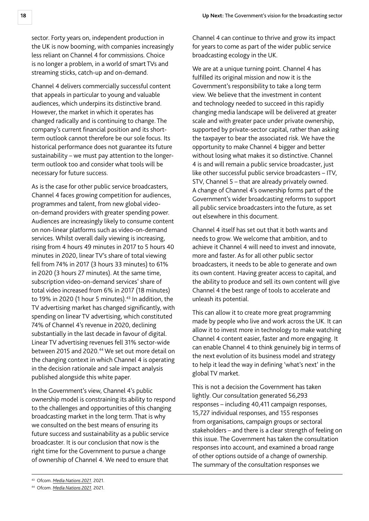sector. Forty years on, independent production in the UK is now booming, with companies increasingly less reliant on Channel 4 for commissions. Choice is no longer a problem, in a world of smart TVs and streaming sticks, catch-up and on-demand.

Channel 4 delivers commercially successful content that appeals in particular to young and valuable audiences, which underpins its distinctive brand. However, the market in which it operates has changed radically and is continuing to change. The company's current financial position and its shortterm outlook cannot therefore be our sole focus. Its historical performance does not guarantee its future sustainability – we must pay attention to the longerterm outlook too and consider what tools will be necessary for future success.

As is the case for other public service broadcasters, Channel 4 faces growing competition for audiences, programmes and talent, from new global videoon-demand providers with greater spending power. Audiences are increasingly likely to consume content on non-linear platforms such as video-on-demand services. Whilst overall daily viewing is increasing, rising from 4 hours 49 minutes in 2017 to 5 hours 40 minutes in 2020, linear TV's share of total viewing fell from 74% in 2017 (3 hours 33 minutes) to 61% in 2020 (3 hours 27 minutes). At the same time, subscription video-on-demand services' share of total video increased from 6% in 2017 (18 minutes) to 19% in 2020 (1 hour 5 minutes). $43$  In addition, the TV advertising market has changed significantly, with spending on linear TV advertising, which constituted 74% of Channel 4's revenue in 2020, declining substantially in the last decade in favour of digital. Linear TV advertising revenues fell 31% sector-wide between 2015 and 2020.<sup>44</sup> We set out more detail on the changing context in which Channel 4 is operating in the decision rationale and sale impact analysis published alongside this white paper.

In the Government's view, Channel 4's public ownership model is constraining its ability to respond to the challenges and opportunities of this changing broadcasting market in the long term. That is why we consulted on the best means of ensuring its future success and sustainability as a public service broadcaster. It is our conclusion that now is the right time for the Government to pursue a change of ownership of Channel 4. We need to ensure that

We are at a unique turning point. Channel 4 has fulfilled its original mission and now it is the Government's responsibility to take a long term view. We believe that the investment in content and technology needed to succeed in this rapidly changing media landscape will be delivered at greater scale and with greater pace under private ownership, supported by private-sector capital, rather than asking the taxpayer to bear the associated risk. We have the opportunity to make Channel 4 bigger and better without losing what makes it so distinctive. Channel 4 is and will remain a public service broadcaster, just like other successful public service broadcasters – ITV, STV, Channel 5 – that are already privately owned. A change of Channel 4's ownership forms part of the Government's wider broadcasting reforms to support all public service broadcasters into the future, as set out elsewhere in this document.

Channel 4 itself has set out that it both wants and needs to grow. We welcome that ambition, and to achieve it Channel 4 will need to invest and innovate, more and faster. As for all other public sector broadcasters, it needs to be able to generate and own its own content. Having greater access to capital, and the ability to produce and sell its own content will give Channel 4 the best range of tools to accelerate and unleash its potential.

This can allow it to create more great programming made by people who live and work across the UK. It can allow it to invest more in technology to make watching Channel 4 content easier, faster and more engaging. It can enable Channel 4 to think genuinely big in terms of the next evolution of its business model and strategy to help it lead the way in defining 'what's next' in the global TV market.

This is not a decision the Government has taken lightly. Our consultation generated 56,293 responses – including 40,411 campaign responses, 15,727 individual responses, and 155 responses from organisations, campaign groups or sectoral stakeholders – and there is a clear strength of feeling on this issue. The Government has taken the consultation responses into account, and examined a broad range of other options outside of a change of ownership. The summary of the consultation responses we

Channel 4 can continue to thrive and grow its impact for years to come as part of the wider public service broadcasting ecology in the UK.

<sup>43</sup> Ofcom. *[Media Nations 2021](https://www.ofcom.org.uk/research-and-data/tv-radio-and-on-demand/media-nations-reports/media-nations-2021)*. 2021.

<sup>44</sup> Ofcom. *[Media Nations 2021](https://www.ofcom.org.uk/research-and-data/tv-radio-and-on-demand/media-nations-reports/media-nations-2021)*. 2021.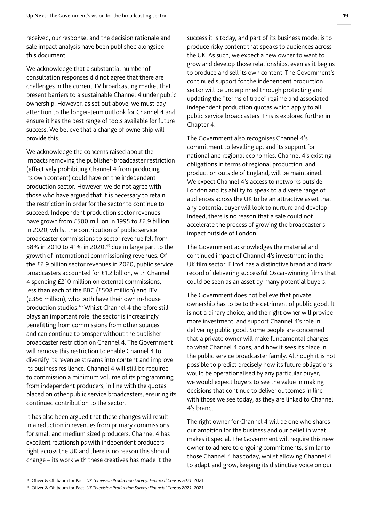received, our response, and the decision rationale and sale impact analysis have been published alongside this document.

We acknowledge that a substantial number of consultation responses did not agree that there are challenges in the current TV broadcasting market that present barriers to a sustainable Channel 4 under public ownership. However, as set out above, we must pay attention to the longer-term outlook for Channel 4 and ensure it has the best range of tools available for future success. We believe that a change of ownership will provide this.

We acknowledge the concerns raised about the impacts removing the publisher-broadcaster restriction (effectively prohibiting Channel 4 from producing its own content) could have on the independent production sector. However, we do not agree with those who have argued that it is necessary to retain the restriction in order for the sector to continue to succeed. Independent production sector revenues have grown from £500 million in 1995 to £2.9 billion in 2020, whilst the contribution of public service broadcaster commissions to sector revenue fell from 58% in 2010 to 41% in 2020,<sup>45</sup> due in large part to the growth of international commissioning revenues. Of the £2.9 billion sector revenues in 2020, public service broadcasters accounted for £1.2 billion, with Channel 4 spending £210 million on external commissions, less than each of the BBC (£508 million) and ITV (£356 million), who both have their own in-house production studios.46 Whilst Channel 4 therefore still plays an important role, the sector is increasingly benefitting from commissions from other sources and can continue to prosper without the publisherbroadcaster restriction on Channel 4. The Government will remove this restriction to enable Channel 4 to diversify its revenue streams into content and improve its business resilience. Channel 4 will still be required to commission a minimum volume of its programming from independent producers, in line with the quotas placed on other public service broadcasters, ensuring its continued contribution to the sector.

It has also been argued that these changes will result in a reduction in revenues from primary commissions for small and medium sized producers. Channel 4 has excellent relationships with independent producers right across the UK and there is no reason this should change – its work with these creatives has made it the success it is today, and part of its business model is to produce risky content that speaks to audiences across the UK. As such, we expect a new owner to want to grow and develop those relationships, even as it begins to produce and sell its own content. The Government's continued support for the independent production sector will be underpinned through protecting and updating the "terms of trade" regime and associated independent production quotas which apply to all public service broadcasters. This is explored further in Chapter 4.

The Government also recognises Channel 4's commitment to levelling up, and its support for national and regional economies. Channel 4's existing obligations in terms of regional production, and production outside of England, will be maintained. We expect Channel 4's access to networks outside London and its ability to speak to a diverse range of audiences across the UK to be an attractive asset that any potential buyer will look to nurture and develop. Indeed, there is no reason that a sale could not accelerate the process of growing the broadcaster's impact outside of London.

The Government acknowledges the material and continued impact of Channel 4's investment in the UK film sector. Film4 has a distinctive brand and track record of delivering successful Oscar-winning films that could be seen as an asset by many potential buyers.

The Government does not believe that private ownership has to be to the detriment of public good. It is not a binary choice, and the right owner will provide more investment, and support Channel 4's role in delivering public good. Some people are concerned that a private owner will make fundamental changes to what Channel 4 does, and how it sees its place in the public service broadcaster family. Although it is not possible to predict precisely how its future obligations would be operationalised by any particular buyer, we would expect buyers to see the value in making decisions that continue to deliver outcomes in line with those we see today, as they are linked to Channel 4's brand.

The right owner for Channel 4 will be one who shares our ambition for the business and our belief in what makes it special. The Government will require this new owner to adhere to ongoing commitments, similar to those Channel 4 has today, whilst allowing Channel 4 to adapt and grow, keeping its distinctive voice on our

<sup>45</sup> Oliver & Ohlbaum for Pact. *[UK Television Production Survey: Financial Census 2021](https://www.pact.co.uk/static/84d7f99f-a9fb-403d-a467ff1a7ea85ec4/Oliver-and-Ohlbaum-Pact-Census-2021-FINAL.pdf?userDownload=true)*. 2021.

<sup>46</sup> Oliver & Ohlbaum for Pact. *[UK Television Production Survey: Financial Census 2021](https://www.pact.co.uk/static/84d7f99f-a9fb-403d-a467ff1a7ea85ec4/Oliver-and-Ohlbaum-Pact-Census-2021-FINAL.pdf?userDownload=true)*. 2021.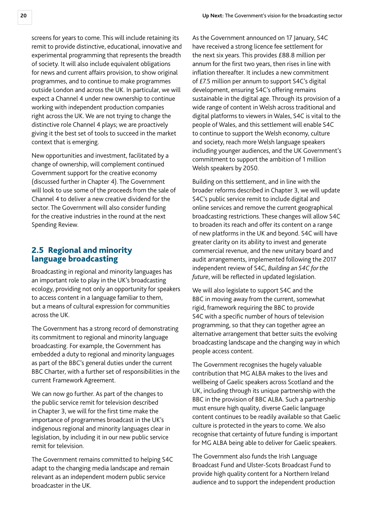<span id="page-20-0"></span>screens for years to come. This will include retaining its remit to provide distinctive, educational, innovative and experimental programming that represents the breadth of society. It will also include equivalent obligations for news and current affairs provision, to show original programmes, and to continue to make programmes outside London and across the UK. In particular, we will expect a Channel 4 under new ownership to continue working with independent production companies right across the UK. We are not trying to change the distinctive role Channel 4 plays; we are proactively giving it the best set of tools to succeed in the market context that is emerging.

New opportunities and investment, facilitated by a change of ownership, will complement continued Government support for the creative economy (discussed further in Chapter 4). The Government will look to use some of the proceeds from the sale of Channel 4 to deliver a new creative dividend for the sector. The Government will also consider funding for the creative industries in the round at the next Spending Review.

### 2.5 Regional and minority language broadcasting

Broadcasting in regional and minority languages has an important role to play in the UK's broadcasting ecology, providing not only an opportunity for speakers to access content in a language familiar to them, but a means of cultural expression for communities across the UK.

The Government has a strong record of demonstrating its commitment to regional and minority language broadcasting. For example, the Government has embedded a duty to regional and minority languages as part of the BBC's general duties under the current BBC Charter, with a further set of responsibilities in the current Framework Agreement.

We can now go further. As part of the changes to the public service remit for television described in Chapter 3, we will for the first time make the importance of programmes broadcast in the UK's indigenous regional and minority languages clear in legislation, by including it in our new public service remit for television.

The Government remains committed to helping S4C adapt to the changing media landscape and remain relevant as an independent modern public service broadcaster in the UK.

As the Government announced on 17 January, S4C have received a strong licence fee settlement for the next six years. This provides £88.8 million per annum for the first two years, then rises in line with inflation thereafter. It includes a new commitment of £7.5 million per annum to support S4C's digital development, ensuring S4C's offering remains sustainable in the digital age. Through its provision of a wide range of content in Welsh across traditional and digital platforms to viewers in Wales, S4C is vital to the people of Wales, and this settlement will enable S4C to continue to support the Welsh economy, culture and society, reach more Welsh language speakers including younger audiences, and the UK Government's commitment to support the ambition of 1 million Welsh speakers by 2050.

Building on this settlement, and in line with the broader reforms described in Chapter 3, we will update S4C's public service remit to include digital and online services and remove the current geographical broadcasting restrictions. These changes will allow S4C to broaden its reach and offer its content on a range of new platforms in the UK and beyond. S4C will have greater clarity on its ability to invest and generate commercial revenue, and the new unitary board and audit arrangements, implemented following the 2017 independent review of S4C, *Building an S4C for the future*, will be reflected in updated legislation.

We will also legislate to support S4C and the BBC in moving away from the current, somewhat rigid, framework requiring the BBC to provide S4C with a specific number of hours of television programming, so that they can together agree an alternative arrangement that better suits the evolving broadcasting landscape and the changing way in which people access content.

The Government recognises the hugely valuable contribution that MG ALBA makes to the lives and wellbeing of Gaelic speakers across Scotland and the UK, including through its unique partnership with the BBC in the provision of BBC ALBA. Such a partnership must ensure high quality, diverse Gaelic language content continues to be readily available so that Gaelic culture is protected in the years to come. We also recognise that certainty of future funding is important for MG ALBA being able to deliver for Gaelic speakers.

The Government also funds the Irish Language Broadcast Fund and Ulster-Scots Broadcast Fund to provide high quality content for a Northern Ireland audience and to support the independent production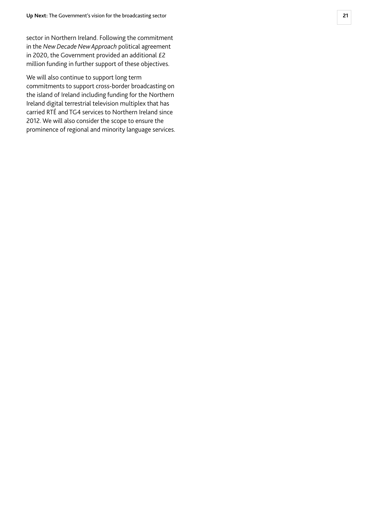sector in Northern Ireland. Following the commitment in the *New Decade New Approach* political agreement in 2020, the Government provided an additional £2 million funding in further support of these objectives.

We will also continue to support long term commitments to support cross-border broadcasting on the island of Ireland including funding for the Northern Ireland digital terrestrial television multiplex that has carried RTÉ and TG4 services to Northern Ireland since 2012. We will also consider the scope to ensure the prominence of regional and minority language services.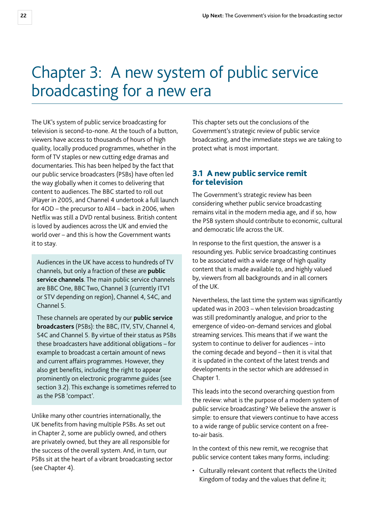# <span id="page-22-0"></span>Chapter 3: A new system of public service broadcasting for a new era

The UK's system of public service broadcasting for television is second-to-none. At the touch of a button, viewers have access to thousands of hours of high quality, locally produced programmes, whether in the form of TV staples or new cutting edge dramas and documentaries. This has been helped by the fact that our public service broadcasters (PSBs) have often led the way globally when it comes to delivering that content to audiences. The BBC started to roll out iPlayer in 2005, and Channel 4 undertook a full launch for 4OD – the precursor to All4 – back in 2006, when Netflix was still a DVD rental business. British content is loved by audiences across the UK and envied the world over – and this is how the Government wants it to stay.

Audiences in the UK have access to hundreds of TV channels, but only a fraction of these are **public service channels**. The main public service channels are BBC One, BBC Two, Channel 3 (currently ITV1 or STV depending on region), Channel 4, S4C, and Channel 5.

These channels are operated by our **public service broadcasters** (PSBs): the BBC, ITV, STV, Channel 4, S4C and Channel 5. By virtue of their status as PSBs these broadcasters have additional obligations – for example to broadcast a certain amount of news and current affairs programmes. However, they also get benefits, including the right to appear prominently on electronic programme guides (see section 3.2). This exchange is sometimes referred to as the PSB 'compact'.

Unlike many other countries internationally, the UK benefits from having multiple PSBs. As set out in Chapter 2, some are publicly owned, and others are privately owned, but they are all responsible for the success of the overall system. And, in turn, our PSBs sit at the heart of a vibrant broadcasting sector (see Chapter 4).

This chapter sets out the conclusions of the Government's strategic review of public service broadcasting, and the immediate steps we are taking to protect what is most important.

#### 3.1 A new public service remit for television

The Government's strategic review has been considering whether public service broadcasting remains vital in the modern media age, and if so, how the PSB system should contribute to economic, cultural and democratic life across the UK.

In response to the first question, the answer is a resounding yes. Public service broadcasting continues to be associated with a wide range of high quality content that is made available to, and highly valued by, viewers from all backgrounds and in all corners of the UK.

Nevertheless, the last time the system was significantly updated was in 2003 – when television broadcasting was still predominantly analogue, and prior to the emergence of video-on-demand services and global streaming services. This means that if we want the system to continue to deliver for audiences – into the coming decade and beyond – then it is vital that it is updated in the context of the latest trends and developments in the sector which are addressed in Chapter 1.

This leads into the second overarching question from the review: what is the purpose of a modern system of public service broadcasting? We believe the answer is simple: to ensure that viewers continue to have access to a wide range of public service content on a freeto-air basis.

In the context of this new remit, we recognise that public service content takes many forms, including:

• Culturally relevant content that reflects the United Kingdom of today and the values that define it;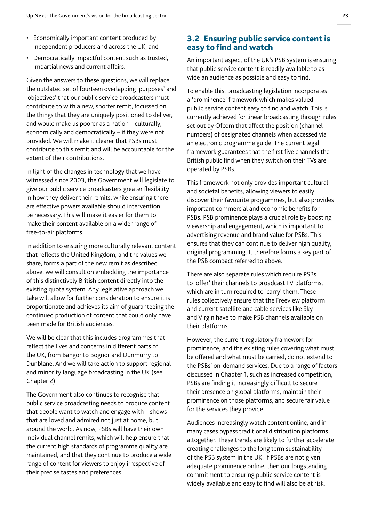- <span id="page-23-0"></span>• Economically important content produced by independent producers and across the UK; and
- Democratically impactful content such as trusted, impartial news and current affairs.

Given the answers to these questions, we will replace the outdated set of fourteen overlapping 'purposes' and 'objectives' that our public service broadcasters must contribute to with a new, shorter remit, focussed on the things that they are uniquely positioned to deliver, and would make us poorer as a nation – culturally, economically and democratically – if they were not provided. We will make it clearer that PSBs must contribute to this remit and will be accountable for the extent of their contributions.

In light of the changes in technology that we have witnessed since 2003, the Government will legislate to give our public service broadcasters greater flexibility in how they deliver their remits, while ensuring there are effective powers available should intervention be necessary. This will make it easier for them to make their content available on a wider range of free-to-air platforms.

In addition to ensuring more culturally relevant content that reflects the United Kingdom, and the values we share, forms a part of the new remit as described above, we will consult on embedding the importance of this distinctively British content directly into the existing quota system. Any legislative approach we take will allow for further consideration to ensure it is proportionate and achieves its aim of guaranteeing the continued production of content that could only have been made for British audiences.

We will be clear that this includes programmes that reflect the lives and concerns in different parts of the UK, from Bangor to Bognor and Dunmurry to Dunblane. And we will take action to support regional and minority language broadcasting in the UK (see Chapter 2).

The Government also continues to recognise that public service broadcasting needs to produce content that people want to watch and engage with – shows that are loved and admired not just at home, but around the world. As now, PSBs will have their own individual channel remits, which will help ensure that the current high standards of programme quality are maintained, and that they continue to produce a wide range of content for viewers to enjoy irrespective of their precise tastes and preferences.

### 3.2 Ensuring public service content is easy to find and watch

An important aspect of the UK's PSB system is ensuring that public service content is readily available to as wide an audience as possible and easy to find.

To enable this, broadcasting legislation incorporates a 'prominence' framework which makes valued public service content easy to find and watch. This is currently achieved for linear broadcasting through rules set out by Ofcom that affect the position (channel numbers) of designated channels when accessed via an electronic programme guide. The current legal framework guarantees that the first five channels the British public find when they switch on their TVs are operated by PSBs.

This framework not only provides important cultural and societal benefits, allowing viewers to easily discover their favourite programmes, but also provides important commercial and economic benefits for PSBs. PSB prominence plays a crucial role by boosting viewership and engagement, which is important to advertising revenue and brand value for PSBs. This ensures that they can continue to deliver high quality, original programming. It therefore forms a key part of the PSB compact referred to above.

There are also separate rules which require PSBs to 'offer' their channels to broadcast TV platforms, which are in turn required to 'carry' them. These rules collectively ensure that the Freeview platform and current satellite and cable services like Sky and Virgin have to make PSB channels available on their platforms.

However, the current regulatory framework for prominence, and the existing rules covering what must be offered and what must be carried, do not extend to the PSBs' on-demand services. Due to a range of factors discussed in Chapter 1, such as increased competition, PSBs are finding it increasingly difficult to secure their presence on global platforms, maintain their prominence on those platforms, and secure fair value for the services they provide.

Audiences increasingly watch content online, and in many cases bypass traditional distribution platforms altogether. These trends are likely to further accelerate, creating challenges to the long term sustainability of the PSB system in the UK. If PSBs are not given adequate prominence online, then our longstanding commitment to ensuring public service content is widely available and easy to find will also be at risk.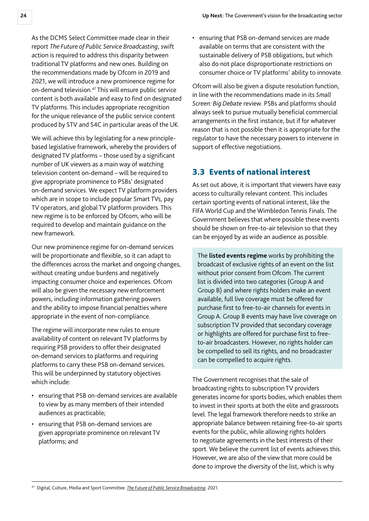<span id="page-24-0"></span>As the DCMS Select Committee made clear in their report *The Future of Public Service Broadcasting*, swift action is required to address this disparity between traditional TV platforms and new ones. Building on the recommendations made by Ofcom in 2019 and 2021, we will introduce a new prominence regime for on-demand television.<sup>47</sup> This will ensure public service content is both available and easy to find on designated TV platforms. This includes appropriate recognition for the unique relevance of the public service content produced by STV and S4C in particular areas of the UK.

We will achieve this by legislating for a new principlebased legislative framework, whereby the providers of designated TV platforms – those used by a significant number of UK viewers as a main way of watching television content on-demand – will be required to give appropriate prominence to PSBs' designated on-demand services. We expect TV platform providers which are in scope to include popular Smart TVs, pay TV operators, and global TV platform providers. This new regime is to be enforced by Ofcom, who will be required to develop and maintain guidance on the new framework.

Our new prominence regime for on-demand services will be proportionate and flexible, so it can adapt to the differences across the market and ongoing changes, without creating undue burdens and negatively impacting consumer choice and experiences. Ofcom will also be given the necessary new enforcement powers, including information gathering powers and the ability to impose financial penalties where appropriate in the event of non-compliance.

The regime will incorporate new rules to ensure availability of content on relevant TV platforms by requiring PSB providers to offer their designated on-demand services to platforms and requiring platforms to carry these PSB on-demand services. This will be underpinned by statutory objectives which include:

- ensuring that PSB on-demand services are available to view by as many members of their intended audiences as practicable;
- ensuring that PSB on-demand services are given appropriate prominence on relevant TV platforms; and

• ensuring that PSB on-demand services are made available on terms that are consistent with the sustainable delivery of PSB obligations, but which also do not place disproportionate restrictions on consumer choice or TV platforms' ability to innovate.

Ofcom will also be given a dispute resolution function, in line with the recommendations made in its *Small Screen: Big Debate* review. PSBs and platforms should always seek to pursue mutually beneficial commercial arrangements in the first instance, but if for whatever reason that is not possible then it is appropriate for the regulator to have the necessary powers to intervene in support of effective negotiations.

# 3.3 Events of national interest

As set out above, it is important that viewers have easy access to culturally relevant content. This includes certain sporting events of national interest, like the FIFA World Cup and the Wimbledon Tennis Finals. The Government believes that where possible these events should be shown on free-to-air television so that they can be enjoyed by as wide an audience as possible.

The **listed events regime** works by prohibiting the broadcast of exclusive rights of an event on the list without prior consent from Ofcom. The current list is divided into two categories (Group A and Group B) and where rights holders make an event available, full live coverage must be offered for purchase first to free-to-air channels for events in Group A. Group B events may have live coverage on subscription TV provided that secondary coverage or highlights are offered for purchase first to freeto-air broadcasters. However, no rights holder can be compelled to sell its rights, and no broadcaster can be compelled to acquire rights.

The Government recognises that the sale of broadcasting rights to subscription TV providers generates income for sports bodies, which enables them to invest in their sports at both the elite and grassroots level. The legal framework therefore needs to strike an appropriate balance between retaining free-to-air sports events for the public, while allowing rights holders to negotiate agreements in the best interests of their sport. We believe the current list of events achieves this. However, we are also of the view that more could be done to improve the diversity of the list, which is why

<sup>47</sup> Digital, Culture, Media and Sport Committee. *[The Future of Public Service Broadcasting](https://committees.parliament.uk/publications/5243/documents/52552/default/)*. 2021.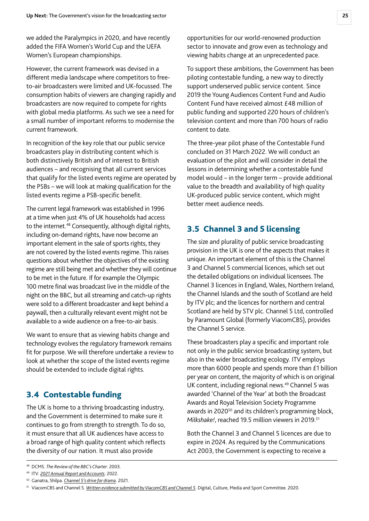<span id="page-25-0"></span>we added the Paralympics in 2020, and have recently added the FIFA Women's World Cup and the UEFA Women's European championships.

However, the current framework was devised in a different media landscape where competitors to freeto-air broadcasters were limited and UK-focussed. The consumption habits of viewers are changing rapidly and broadcasters are now required to compete for rights with global media platforms. As such we see a need for a small number of important reforms to modernise the current framework.

In recognition of the key role that our public service broadcasters play in distributing content which is both distinctively British and of interest to British audiences – and recognising that all current services that qualify for the listed events regime are operated by the PSBs – we will look at making qualification for the listed events regime a PSB-specific benefit.

The current legal framework was established in 1996 at a time when just 4% of UK households had access to the internet.<sup>48</sup> Consequently, although digital rights, including on-demand rights, have now become an important element in the sale of sports rights, they are not covered by the listed events regime. This raises questions about whether the objectives of the existing regime are still being met and whether they will continue to be met in the future. If for example the Olympic 100 metre final was broadcast live in the middle of the night on the BBC, but all streaming and catch-up rights were sold to a different broadcaster and kept behind a paywall, then a culturally relevant event might not be available to a wide audience on a free-to-air basis.

We want to ensure that as viewing habits change and technology evolves the regulatory framework remains fit for purpose. We will therefore undertake a review to look at whether the scope of the listed events regime should be extended to include digital rights.

## 3.4 Contestable funding

The UK is home to a thriving broadcasting industry, and the Government is determined to make sure it continues to go from strength to strength. To do so, it must ensure that all UK audiences have access to a broad range of high quality content which reflects the diversity of our nation. It must also provide

opportunities for our world-renowned production sector to innovate and grow even as technology and viewing habits change at an unprecedented pace.

To support these ambitions, the Government has been piloting contestable funding, a new way to directly support underserved public service content. Since 2019 the Young Audiences Content Fund and Audio Content Fund have received almost £48 million of public funding and supported 220 hours of children's television content and more than 700 hours of radio content to date.

The three-year pilot phase of the Contestable Fund concluded on 31 March 2022. We will conduct an evaluation of the pilot and will consider in detail the lessons in determining whether a contestable fund model would – in the longer term – provide additional value to the breadth and availability of high quality UK-produced public service content, which might better meet audience needs.

# 3.5 Channel 3 and 5 licensing

The size and plurality of public service broadcasting provision in the UK is one of the aspects that makes it unique. An important element of this is the Channel 3 and Channel 5 commercial licences, which set out the detailed obligations on individual licensees. The Channel 3 licences in England, Wales, Northern Ireland, the Channel Islands and the south of Scotland are held by ITV plc; and the licences for northern and central Scotland are held by STV plc. Channel 5 Ltd, controlled by Paramount Global (formerly ViacomCBS), provides the Channel 5 service.

These broadcasters play a specific and important role not only in the public service broadcasting system, but also in the wider broadcasting ecology. ITV employs more than 6000 people and spends more than £1 billion per year on content, the majority of which is on original UK content, including regional news.<sup>49</sup> Channel 5 was awarded 'Channel of the Year' at both the Broadcast Awards and Royal Television Society Programme awards in 2020<sup>50</sup> and its children's programming block, *Milkshake!*, reached 19.5 million viewers in 2019.51

Both the Channel 3 and Channel 5 licences are due to expire in 2024. As required by the Communications Act 2003, the Government is expecting to receive a

<sup>48</sup> DCMS. *The Review of the BBC's Charter*. 2003.

<sup>49</sup> ITV. *[2021 Annual Report and Accounts](https://www.itvplc.com/~/media/Files/I/ITV-PLC/documents/reports-and-results/annual-report-2021.pdf)*. 2022.

<sup>50</sup> Ganatra, Shilpa. *[Channel 5's drive for drama](https://rts.org.uk/article/channel-5-s-drive-drama)*. 2021.

<sup>51</sup> ViacomCBS and Channel 5. *[Written evidence submitted by ViacomCBS and Channel 5](https://committees.parliament.uk/writtenevidence/7536/html/)*. Digital, Culture, Media and Sport Committee. 2020.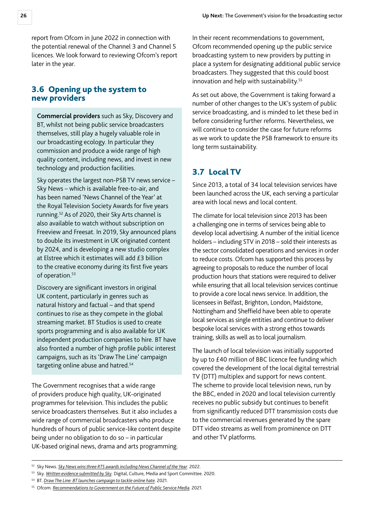<span id="page-26-0"></span>report from Ofcom in June 2022 in connection with the potential renewal of the Channel 3 and Channel 5 licences. We look forward to reviewing Ofcom's report later in the year.

#### 3.6 Opening up the system to new providers

**Commercial providers** such as Sky, Discovery and BT, whilst not being public service broadcasters themselves, still play a hugely valuable role in our broadcasting ecology. In particular they commission and produce a wide range of high quality content, including news, and invest in new technology and production facilities.

Sky operates the largest non-PSB TV news service – Sky News – which is available free-to-air, and has been named 'News Channel of the Year' at the Royal Television Society Awards for five years running.52 As of 2020, their Sky Arts channel is also available to watch without subscription on Freeview and Freesat. In 2019, Sky announced plans to double its investment in UK originated content by 2024, and is developing a new studio complex at Elstree which it estimates will add £3 billion to the creative economy during its first five years of operation.<sup>53</sup>

Discovery are significant investors in original UK content, particularly in genres such as natural history and factual – and that spend continues to rise as they compete in the global streaming market. BT Studios is used to create sports programming and is also available for UK independent production companies to hire. BT have also fronted a number of high profile public interest campaigns, such as its 'Draw The Line' campaign targeting online abuse and hatred.<sup>54</sup>

The Government recognises that a wide range of providers produce high quality, UK-originated programmes for television. This includes the public service broadcasters themselves. But it also includes a wide range of commercial broadcasters who produce hundreds of hours of public service-like content despite being under no obligation to do so – in particular UK-based original news, drama and arts programming.

In their recent recommendations to government, Ofcom recommended opening up the public service broadcasting system to new providers by putting in place a system for designating additional public service broadcasters. They suggested that this could boost innovation and help with sustainability.<sup>55</sup>

As set out above, the Government is taking forward a number of other changes to the UK's system of public service broadcasting, and is minded to let these bed in before considering further reforms. Nevertheless, we will continue to consider the case for future reforms as we work to update the PSB framework to ensure its long term sustainability.

# 3.7 Local TV

Since 2013, a total of 34 local television services have been launched across the UK, each serving a particular area with local news and local content.

The climate for local television since 2013 has been a challenging one in terms of services being able to develop local advertising. A number of the initial licence holders – including STV in 2018 – sold their interests as the sector consolidated operations and services in order to reduce costs. Ofcom has supported this process by agreeing to proposals to reduce the number of local production hours that stations were required to deliver while ensuring that all local television services continue to provide a core local news service. In addition, the licensees in Belfast, Brighton, London, Maidstone, Nottingham and Sheffield have been able to operate local services as single entities and continue to deliver bespoke local services with a strong ethos towards training, skills as well as to local journalism.

The launch of local television was initially supported by up to £40 million of BBC licence fee funding which covered the development of the local digital terrestrial TV (DTT) multiplex and support for news content. The scheme to provide local television news, run by the BBC, ended in 2020 and local television currently receives no public subsidy but continues to benefit from significantly reduced DTT transmission costs due to the commercial revenues generated by the spare DTT video streams as well from prominence on DTT and other TV platforms.

<sup>52</sup> Sky News. *[Sky News wins three RTS awards including News Channel of the Year](https://news.sky.com/story/sky-news-wins-three-rts-awards-including-news-channel-of-the-year-12549965)*. 2022.

<sup>53</sup> Sky. *[Written evidence submitted by Sky](https://committees.parliament.uk/writtenevidence/7342/html/)*. Digital, Culture, Media and Sport Committee. 2020.

<sup>54</sup> BT. *[Draw The Line: BT launches campaign to tackle online hate](https://www.bt.com/sport/features/draw-the-line-campaign-tackle-online-abuse)*. 2021.

<sup>55</sup> Ofcom. *[Recommendations to Government on the Future of Public Service Media](https://www.smallscreenbigdebate.co.uk/__data/assets/pdf_file/0023/221954/statement-future-of-public-service-media.pdf)*. 2021.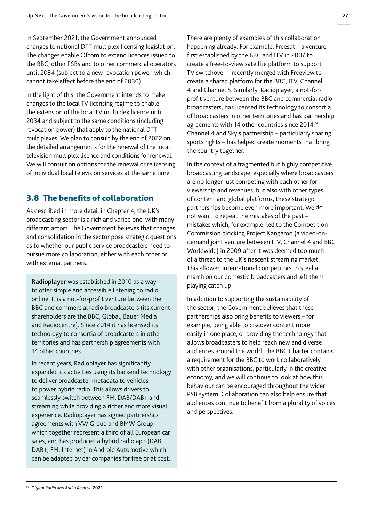<span id="page-27-0"></span>In September 2021, the Government announced changes to national DTT multiplex licensing legislation. The changes enable Ofcom to extend licences issued to the BBC, other PSBs and to other commercial operators until 2034 (subject to a new revocation power, which cannot take effect before the end of 2030).

In the light of this, the Government intends to make changes to the local TV licensing regime to enable the extension of the local TV multiplex licence until 2034 and subject to the same conditions (including revocation power) that apply to the national DTT multiplexes. We plan to consult by the end of 2022 on the detailed arrangements for the renewal of the local television multiplex licence and conditions for renewal. We will consult on options for the renewal or relicensing of individual local television services at the same time.

# 3.8 The benefits of collaboration

As described in more detail in Chapter 4, the UK's broadcasting sector is a rich and varied one, with many different actors. The Government believes that changes and consolidation in the sector pose strategic questions as to whether our public service broadcasters need to pursue more collaboration, either with each other or with external partners.

**Radioplayer** was established in 2010 as a way to offer simple and accessible listening to radio online. It is a not-for-profit venture between the BBC and commercial radio broadcasters (its current shareholders are the BBC, Global, Bauer Media and Radiocentre). Since 2014 it has licensed its technology to consortia of broadcasters in other territories and has partnership agreements with 14 other countries.

In recent years, Radioplayer has significantly expanded its activities using its backend technology to deliver broadcaster metadata to vehicles to power hybrid radio. This allows drivers to seamlessly switch between FM, DAB/DAB+ and streaming while providing a richer and more visual experience. Radioplayer has signed partnership agreements with VW Group and BMW Group, which together represent a third of all European car sales, and has produced a hybrid radio app (DAB, DAB+, FM, Internet) in Android Automotive which can be adapted by car companies for free or at cost.

There are plenty of examples of this collaboration happening already. For example, Freesat – a venture first established by the BBC and ITV in 2007 to create a free-to-view satellite platform to support TV switchover – recently merged with Freeview to create a shared platform for the BBC, ITV, Channel 4 and Channel 5. Similarly, Radioplayer, a not-forprofit venture between the BBC and commercial radio broadcasters, has licensed its technology to consortia of broadcasters in other territories and has partnership agreements with 14 other countries since 2014.<sup>56</sup> Channel 4 and Sky's partnership – particularly sharing sports rights – has helped create moments that bring the country together.

In the context of a fragmented but highly competitive broadcasting landscape, especially where broadcasters are no longer just competing with each other for viewership and revenues, but also with other types of content and global platforms, these strategic partnerships become even more important. We do not want to repeat the mistakes of the past – mistakes which, for example, led to the Competition Commission blocking Project Kangaroo (a video-ondemand joint venture between ITV, Channel 4 and BBC Worldwide) in 2009 after it was deemed too much of a threat to the UK's nascent streaming market. This allowed international competitors to steal a march on our domestic broadcasters and left them playing catch up.

In addition to supporting the sustainability of the sector, the Government believes that these partnerships also bring benefits to viewers – for example, being able to discover content more easily in one place, or providing the technology that allows broadcasters to help reach new and diverse audiences around the world. The BBC Charter contains a requirement for the BBC to work collaboratively with other organisations, particularly in the creative economy, and we will continue to look at how this behaviour can be encouraged throughout the wider PSB system. Collaboration can also help ensure that audiences continue to benefit from a plurality of voices and perspectives.

<sup>56</sup> *[Digital Radio and Audio Review](https://www.gov.uk/government/publications/digital-radio-and-audio-review)*. 2021.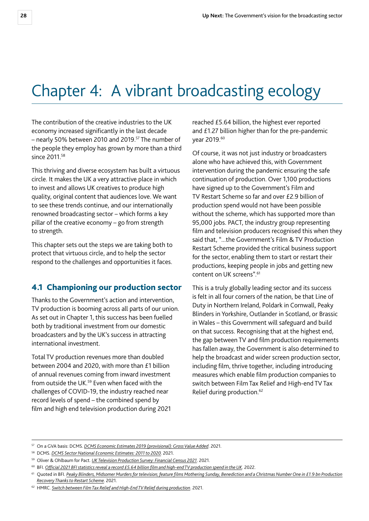# <span id="page-28-0"></span>Chapter 4: A vibrant broadcasting ecology

The contribution of the creative industries to the UK economy increased significantly in the last decade – nearly 50% between 2010 and 2019.57 The number of the people they employ has grown by more than a third since 2011.<sup>58</sup>

This thriving and diverse ecosystem has built a virtuous circle. It makes the UK a very attractive place in which to invest and allows UK creatives to produce high quality, original content that audiences love. We want to see these trends continue, and our internationally renowned broadcasting sector – which forms a key pillar of the creative economy – go from strength to strength.

This chapter sets out the steps we are taking both to protect that virtuous circle, and to help the sector respond to the challenges and opportunities it faces.

#### 4.1 Championing our production sector

Thanks to the Government's action and intervention, TV production is booming across all parts of our union. As set out in Chapter 1, this success has been fuelled both by traditional investment from our domestic broadcasters and by the UK's success in attracting international investment.

Total TV production revenues more than doubled between 2004 and 2020, with more than £1 billion of annual revenues coming from inward investment from outside the UK.<sup>59</sup> Even when faced with the challenges of COVID-19, the industry reached near record levels of spend – the combined spend by film and high end television production during 2021 reached £5.64 billion, the highest ever reported and £1.27 billion higher than for the pre-pandemic year 2019.60

Of course, it was not just industry or broadcasters alone who have achieved this, with Government intervention during the pandemic ensuring the safe continuation of production. Over 1,100 productions have signed up to the Government's Film and TV Restart Scheme so far and over £2.9 billion of production spend would not have been possible without the scheme, which has supported more than 95,000 jobs. PACT, the industry group representing film and television producers recognised this when they said that, "...the Government's Film & TV Production Restart Scheme provided the critical business support for the sector, enabling them to start or restart their productions, keeping people in jobs and getting new content on UK screens".61

This is a truly globally leading sector and its success is felt in all four corners of the nation, be that Line of Duty in Northern Ireland, Poldark in Cornwall, Peaky Blinders in Yorkshire, Outlander in Scotland, or Brassic in Wales – this Government will safeguard and build on that success. Recognising that at the highest end, the gap between TV and film production requirements has fallen away, the Government is also determined to help the broadcast and wider screen production sector, including film, thrive together, including introducing measures which enable film production companies to switch between Film Tax Relief and High-end TV Tax Relief during production.<sup>62</sup>

<sup>57</sup> On a GVA basis: DCMS. *[DCMS Economic Estimates 2019 \(provisional\): Gross Value Added](https://www.gov.uk/government/statistics/dcms-economic-estimates-2019-gross-value-added/dcms-economic-estimates-2019-provisional-gross-value-added)*. 2021.

<sup>58</sup> DCMS. *[DCMS Sector National Economic Estimates: 2011 to 2020.](https://www.gov.uk/government/statistics/dcms-sector-national-economic-estimates-2011-to-2020)* 2021.

<sup>59</sup> Oliver & Ohlbaum for Pact. *[UK Television Production Survey: Financial Census 2021](https://www.pact.co.uk/static/84d7f99f-a9fb-403d-a467ff1a7ea85ec4/Oliver-and-Ohlbaum-Pact-Census-2021-FINAL.pdf)*. 2021.

<sup>60</sup> BFI. *[Official 2021 BFI statistics reveal a record £5.64 billion film and high-end TV production spend in the UK](https://www.bfi.org.uk/news/official-2021-bfi-statistics)*. 2022.

<sup>&</sup>lt;sup>61</sup> Quoted in BFI. Peaky Blinders, Midsomer Murders for television; feature films Mothering Sunday, Benediction and a Christmas Number One in £1.9 bn Production *[Recovery Thanks to Restart Scheme.](https://core-cms.bfi.org.uk/media/11552/download)* 2021.

<sup>62</sup> HMRC. *[Switch between Film Tax Relief and High-End TV Relief during production](https://www.gov.uk/government/publications/switch-between-film-tax-relief-and-high-end-tv-relief-during-production)*. 2021.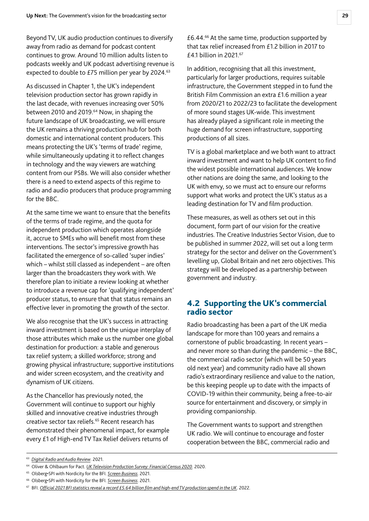<span id="page-29-0"></span>Beyond TV, UK audio production continues to diversify away from radio as demand for podcast content continues to grow. Around 10 million adults listen to podcasts weekly and UK podcast advertising revenue is expected to double to £75 million per year by 2024.<sup>63</sup>

As discussed in Chapter 1, the UK's independent television production sector has grown rapidly in the last decade, with revenues increasing over 50% between 2010 and 2019.<sup>64</sup> Now, in shaping the future landscape of UK broadcasting, we will ensure the UK remains a thriving production hub for both domestic and international content producers. This means protecting the UK's 'terms of trade' regime, while simultaneously updating it to reflect changes in technology and the way viewers are watching content from our PSBs. We will also consider whether there is a need to extend aspects of this regime to radio and audio producers that produce programming for the BBC.

At the same time we want to ensure that the benefits of the terms of trade regime, and the quota for independent production which operates alongside it, accrue to SMEs who will benefit most from these interventions. The sector's impressive growth has facilitated the emergence of so-called 'super indies' which – whilst still classed as independent – are often larger than the broadcasters they work with. We therefore plan to initiate a review looking at whether to introduce a revenue cap for 'qualifying independent' producer status, to ensure that that status remains an effective lever in promoting the growth of the sector.

We also recognise that the UK's success in attracting inward investment is based on the unique interplay of those attributes which make us the number one global destination for production: a stable and generous tax relief system; a skilled workforce; strong and growing physical infrastructure; supportive institutions and wider screen ecosystem, and the creativity and dynamism of UK citizens.

As the Chancellor has previously noted, the Government will continue to support our highly skilled and innovative creative industries through creative sector tax reliefs.<sup>65</sup> Recent research has demonstrated their phenomenal impact, for example every £1 of High-end TV Tax Relief delivers returns of

 $£6.44<sup>66</sup>$  At the same time, production supported by that tax relief increased from £1.2 billion in 2017 to £4.1 billion in 2021.67

In addition, recognising that all this investment, particularly for larger productions, requires suitable infrastructure, the Government stepped in to fund the British Film Commission an extra £1.6 million a year from 2020/21 to 2022/23 to facilitate the development of more sound stages UK-wide. This investment has already played a significant role in meeting the huge demand for screen infrastructure, supporting productions of all sizes.

TV is a global marketplace and we both want to attract inward investment and want to help UK content to find the widest possible international audiences. We know other nations are doing the same, and looking to the UK with envy, so we must act to ensure our reforms support what works and protect the UK's status as a leading destination for TV and film production.

These measures, as well as others set out in this document, form part of our vision for the creative industries. The Creative Industries Sector Vision, due to be published in summer 2022, will set out a long term strategy for the sector and deliver on the Government's levelling up, Global Britain and net zero objectives. This strategy will be developed as a partnership between government and industry.

### 4.2 Supporting the UK's commercial radio sector

Radio broadcasting has been a part of the UK media landscape for more than 100 years and remains a cornerstone of public broadcasting. In recent years – and never more so than during the pandemic – the BBC, the commercial radio sector (which will be 50 years old next year) and community radio have all shown radio's extraordinary resilience and value to the nation, be this keeping people up to date with the impacts of COVID-19 within their community, being a free-to-air source for entertainment and discovery, or simply in providing companionship.

The Government wants to support and strengthen UK radio. We will continue to encourage and foster cooperation between the BBC, commercial radio and

<sup>63</sup> *[Digital Radio and Audio Review](https://www.gov.uk/government/publications/digital-radio-and-audio-review)*. 2021.

<sup>64</sup> Oliver & Ohlbaum for Pact. *[UK Television Production Survey: Financial Census 2020](https://www.pact.co.uk/static/7aa7c919-aa4f-455c-a13df5d3375740a9/Oliver-and-Ohlbaum-Pact-Census-2020-FINAL.pdf)*. 2020.

<sup>65</sup> Olsberg•SPI with Nordicity for the BFI. *[Screen Business](https://core-cms.bfi.org.uk/media/15417/download)*. 2021.

<sup>66</sup> Olsberg•SPI with Nordicity for the BFI. *[Screen Business](https://core-cms.bfi.org.uk/media/15417/download)*. 2021.

<sup>67</sup> BFI. *[Official 2021 BFI statistics reveal a record £5.64 billion film and high-end TV production spend in the UK](https://www.bfi.org.uk/news/official-2021-bfi-statistics)*. 2022.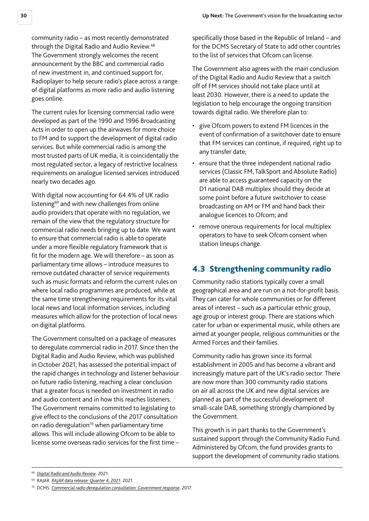<span id="page-30-0"></span>community radio – as most recently demonstrated through the Digital Radio and Audio Review.<sup>68</sup> The Government strongly welcomes the recent announcement by the BBC and commercial radio of new investment in, and continued support for, Radioplayer to help secure radio's place across a range of digital platforms as more radio and audio listening goes online.

The current rules for licensing commercial radio were developed as part of the 1990 and 1996 Broadcasting Acts in order to open up the airwaves for more choice to FM and to support the development of digital radio services. But while commercial radio is among the most trusted parts of UK media, it is coincidentally the most regulated sector, a legacy of restrictive localness requirements on analogue licensed services introduced nearly two decades ago.

With digital now accounting for 64.4% of UK radio listening<sup>69</sup> and with new challenges from online audio providers that operate with no regulation, we remain of the view that the regulatory structure for commercial radio needs bringing up to date. We want to ensure that commercial radio is able to operate under a more flexible regulatory framework that is fit for the modern age. We will therefore – as soon as parliamentary time allows – introduce measures to remove outdated character of service requirements such as music formats and reform the current rules on where local radio programmes are produced, while at the same time strengthening requirements for its vital local news and local information services, including measures which allow for the protection of local news on digital platforms.

The Government consulted on a package of measures to deregulate commercial radio in 2017. Since then the Digital Radio and Audio Review, which was published in October 2021, has assessed the potential impact of the rapid changes in technology and listener behaviour on future radio listening, reaching a clear conclusion that a greater focus is needed on investment in radio and audio content and in how this reaches listeners. The Government remains committed to legislating to give effect to the conclusions of the 2017 consultation on radio deregulation $70$  when parliamentary time allows. This will include allowing Ofcom to be able to license some overseas radio services for the first time – specifically those based in the Republic of Ireland – and for the DCMS Secretary of State to add other countries to the list of services that Ofcom can license.

The Government also agrees with the main conclusion of the Digital Radio and Audio Review that a switch off of FM services should not take place until at least 2030. However, there is a need to update the legislation to help encourage the ongoing transition towards digital radio. We therefore plan to:

- give Ofcom powers to extend FM licences in the event of confirmation of a switchover date to ensure that FM services can continue, if required, right up to any transfer date;
- ensure that the three independent national radio services (Classic FM, TalkSport and Absolute Radio) are able to access guaranteed capacity on the D1 national DAB multiplex should they decide at some point before a future switchover to cease broadcasting on AM or FM and hand back their analogue licences to Ofcom; and
- remove onerous requirements for local multiplex operators to have to seek Ofcom consent when station lineups change.

# 4.3 Strengthening community radio

Community radio stations typically cover a small geographical area and are run on a not-for-profit basis. They can cater for whole communities or for different areas of interest – such as a particular ethnic group, age group or interest group. There are stations which cater for urban or experimental music, while others are aimed at younger people, religious communities or the Armed Forces and their families.

Community radio has grown since its formal establishment in 2005 and has become a vibrant and increasingly mature part of the UK's radio sector. There are now more than 300 community radio stations on air all across the UK and new digital services are planned as part of the successful development of small-scale DAB, something strongly championed by the Government.

This growth is in part thanks to the Government's sustained support through the Community Radio Fund. Administered by Ofcom, the fund provides grants to support the development of community radio stations.

<sup>69</sup> RAJAR. *[RAJAR data release: Quarter 4, 2021](https://www.rajar.co.uk/docs/2021_12/RAJAR%20Q4%202021%20-%20Chart%202%20-%20All%20Digital%20Listening%20-%20Clean.pdf)*. 2021.

<sup>68</sup> *[Digital Radio and Audio Review](https://www.gov.uk/government/publications/digital-radio-and-audio-review)*. 2021.

<sup>70</sup> DCMS. *[Commercial radio deregulation consultation: Government response](https://www.gov.uk/government/consultations/commercial-radio-deregulation-consultation)*. 2017.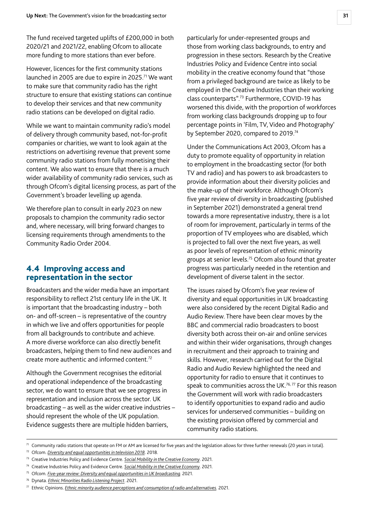<span id="page-31-0"></span>The fund received targeted uplifts of £200,000 in both 2020/21 and 2021/22, enabling Ofcom to allocate more funding to more stations than ever before.

However, licences for the first community stations launched in 2005 are due to expire in 2025.<sup>71</sup> We want to make sure that community radio has the right structure to ensure that existing stations can continue to develop their services and that new community radio stations can be developed on digital radio.

While we want to maintain community radio's model of delivery through community based, not-for-profit companies or charities, we want to look again at the restrictions on advertising revenue that prevent some community radio stations from fully monetising their content. We also want to ensure that there is a much wider availability of community radio services, such as through Ofcom's digital licensing process, as part of the Government's broader levelling up agenda.

We therefore plan to consult in early 2023 on new proposals to champion the community radio sector and, where necessary, will bring forward changes to licensing requirements through amendments to the Community Radio Order 2004.

### 4.4 Improving access and representation in the sector

Broadcasters and the wider media have an important responsibility to reflect 21st century life in the UK. It is important that the broadcasting industry – both on- and off-screen – is representative of the country in which we live and offers opportunities for people from all backgrounds to contribute and achieve. A more diverse workforce can also directly benefit broadcasters, helping them to find new audiences and create more authentic and informed content.72

Although the Government recognises the editorial and operational independence of the broadcasting sector, we do want to ensure that we see progress in representation and inclusion across the sector. UK broadcasting – as well as the wider creative industries – should represent the whole of the UK population. Evidence suggests there are multiple hidden barriers,

particularly for under-represented groups and those from working class backgrounds, to entry and progression in these sectors. Research by the Creative Industries Policy and Evidence Centre into social mobility in the creative economy found that "those from a privileged background are twice as likely to be employed in the Creative Industries than their working class counterparts".73 Furthermore, COVID-19 has worsened this divide, with the proportion of workforces from working class backgrounds dropping up to four percentage points in 'Film, TV, Video and Photography' by September 2020, compared to 2019.<sup>74</sup>

Under the Communications Act 2003, Ofcom has a duty to promote equality of opportunity in relation to employment in the broadcasting sector (for both TV and radio) and has powers to ask broadcasters to provide information about their diversity policies and the make-up of their workforce. Although Ofcom's five year review of diversity in broadcasting (published in September 2021) demonstrated a general trend towards a more representative industry, there is a lot of room for improvement, particularly in terms of the proportion of TV employees who are disabled, which is projected to fall over the next five years, as well as poor levels of representation of ethnic minority groups at senior levels.75 Ofcom also found that greater progress was particularly needed in the retention and development of diverse talent in the sector.

The issues raised by Ofcom's five year review of diversity and equal opportunities in UK broadcasting were also considered by the recent Digital Radio and Audio Review. There have been clear moves by the BBC and commercial radio broadcasters to boost diversity both across their on-air and online services and within their wider organisations, through changes in recruitment and their approach to training and skills. However, research carried out for the Digital Radio and Audio Review highlighted the need and opportunity for radio to ensure that it continues to speak to communities across the UK.<sup>76,77</sup> For this reason the Government will work with radio broadcasters to identify opportunities to expand radio and audio services for underserved communities – building on the existing provision offered by commercial and community radio stations.

 $71$  Community radio stations that operate on FM or AM are licensed for five years and the legislation allows for three further renewals (20 years in total).

- <sup>72</sup> Ofcom. *[Diversity and equal opportunities in television 2018](https://www.ofcom.org.uk/__data/assets/pdf_file/0021/121683/diversity-in-TV-2018-report.PDF)*. 2018.
- <sup>73</sup> Creative Industries Policy and Evidence Centre. *[Social Mobility in the Creative Economy](https://www.pec.ac.uk/research-reports/social-mobility-in-the-creative-economy-rebuilding-and-levelling-up)*. 2021.
- <sup>74</sup> Creative Industries Policy and Evidence Centre. *[Social Mobility in the Creative Economy](https://www.pec.ac.uk/research-reports/social-mobility-in-the-creative-economy-rebuilding-and-levelling-up)*. 2021.

<sup>75</sup> Ofcom. *[Five-year review: Diversity and equal opportunities in UK broadcasting.](https://www.ofcom.org.uk/__data/assets/pdf_file/0029/225992/dib-five-years-2021.pdf)* 2021.

<sup>76</sup> Dynata. *[Ethnic Minorities Radio Listening Project](https://getdigitalradio.com/wp-content/uploads/2021/10/Dynata-Ethnic-minorities-radio-listening-project-March-2021.pdf)*. 2021.

<sup>77</sup> Ethnic Opinions. *[Ethnic minority audience perceptions and consumption of radio and alternatives](https://getdigitalradio.com/wp-content/uploads/2021/10/Ethnic-Opinions-Ethnic-minorities-audience-perceptions-and-consumption-of-radio-and-alternatives-April-2021.pdf).* 2021.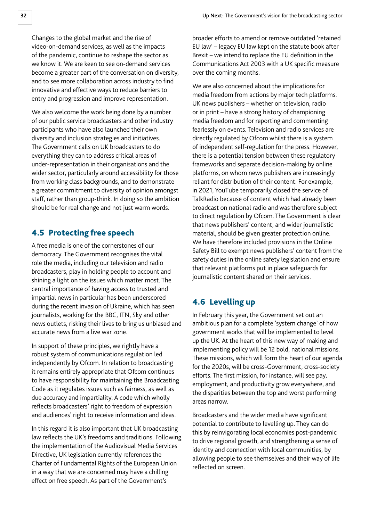<span id="page-32-0"></span>Changes to the global market and the rise of video-on-demand services, as well as the impacts of the pandemic, continue to reshape the sector as we know it. We are keen to see on-demand services become a greater part of the conversation on diversity, and to see more collaboration across industry to find innovative and effective ways to reduce barriers to entry and progression and improve representation.

We also welcome the work being done by a number of our public service broadcasters and other industry participants who have also launched their own diversity and inclusion strategies and initiatives. The Government calls on UK broadcasters to do everything they can to address critical areas of under-representation in their organisations and the wider sector, particularly around accessibility for those from working class backgrounds, and to demonstrate a greater commitment to diversity of opinion amongst staff, rather than group-think. In doing so the ambition should be for real change and not just warm words.

### 4.5 Protecting free speech

A free media is one of the cornerstones of our democracy. The Government recognises the vital role the media, including our television and radio broadcasters, play in holding people to account and shining a light on the issues which matter most. The central importance of having access to trusted and impartial news in particular has been underscored during the recent invasion of Ukraine, which has seen journalists, working for the BBC, ITN, Sky and other news outlets, risking their lives to bring us unbiased and accurate news from a live war zone.

In support of these principles, we rightly have a robust system of communications regulation led independently by Ofcom. In relation to broadcasting it remains entirely appropriate that Ofcom continues to have responsibility for maintaining the Broadcasting Code as it regulates issues such as fairness, as well as due accuracy and impartiality. A code which wholly reflects broadcasters' right to freedom of expression and audiences' right to receive information and ideas.

In this regard it is also important that UK broadcasting law reflects the UK's freedoms and traditions. Following the implementation of the Audiovisual Media Services Directive, UK legislation currently references the Charter of Fundamental Rights of the European Union in a way that we are concerned may have a chilling effect on free speech. As part of the Government's

broader efforts to amend or remove outdated 'retained EU law' – legacy EU law kept on the statute book after Brexit – we intend to replace the EU definition in the Communications Act 2003 with a UK specific measure over the coming months.

We are also concerned about the implications for media freedom from actions by major tech platforms. UK news publishers – whether on television, radio or in print – have a strong history of championing media freedom and for reporting and commenting fearlessly on events. Television and radio services are directly regulated by Ofcom whilst there is a system of independent self-regulation for the press. However, there is a potential tension between these regulatory frameworks and separate decision-making by online platforms, on whom news publishers are increasingly reliant for distribution of their content. For example, in 2021, YouTube temporarily closed the service of TalkRadio because of content which had already been broadcast on national radio and was therefore subject to direct regulation by Ofcom. The Government is clear that news publishers' content, and wider journalistic material, should be given greater protection online. We have therefore included provisions in the Online Safety Bill to exempt news publishers' content from the safety duties in the online safety legislation and ensure that relevant platforms put in place safeguards for journalistic content shared on their services.

# 4.6 Levelling up

In February this year, the Government set out an ambitious plan for a complete 'system change' of how government works that will be implemented to level up the UK. At the heart of this new way of making and implementing policy will be 12 bold, national missions. These missions, which will form the heart of our agenda for the 2020s, will be cross-Government, cross-society efforts. The first mission, for instance, will see pay, employment, and productivity grow everywhere, and the disparities between the top and worst performing areas narrow.

Broadcasters and the wider media have significant potential to contribute to levelling up. They can do this by reinvigorating local economies post-pandemic to drive regional growth, and strengthening a sense of identity and connection with local communities, by allowing people to see themselves and their way of life reflected on screen.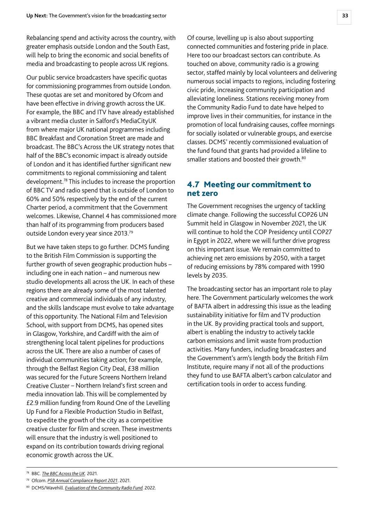<span id="page-33-0"></span>Rebalancing spend and activity across the country, with greater emphasis outside London and the South East, will help to bring the economic and social benefits of media and broadcasting to people across UK regions.

Our public service broadcasters have specific quotas for commissioning programmes from outside London. These quotas are set and monitored by Ofcom and have been effective in driving growth across the UK. For example, the BBC and ITV have already established a vibrant media cluster in Salford's MediaCityUK from where major UK national programmes including BBC Breakfast and Coronation Street are made and broadcast. The BBC's Across the UK strategy notes that half of the BBC's economic impact is already outside of London and it has identified further significant new commitments to regional commissioning and talent development.78 This includes to increase the proportion of BBC TV and radio spend that is outside of London to 60% and 50% respectively by the end of the current Charter period, a commitment that the Government welcomes. Likewise, Channel 4 has commissioned more than half of its programming from producers based outside London every year since 2013.79

But we have taken steps to go further. DCMS funding to the British Film Commission is supporting the further growth of seven geographic production hubs – including one in each nation – and numerous new studio developments all across the UK. In each of these regions there are already some of the most talented creative and commercial individuals of any industry, and the skills landscape must evolve to take advantage of this opportunity. The National Film and Television School, with support from DCMS, has opened sites in Glasgow, Yorkshire, and Cardiff with the aim of strengthening local talent pipelines for productions across the UK. There are also a number of cases of individual communities taking action; for example, through the Belfast Region City Deal, £38 million was secured for the Future Screens Northern Ireland Creative Cluster – Northern Ireland's first screen and media innovation lab. This will be complemented by £2.9 million funding from Round One of the Levelling Up Fund for a Flexible Production Studio in Belfast, to expedite the growth of the city as a competitive creative cluster for film and screen. These investments will ensure that the industry is well positioned to expand on its contribution towards driving regional economic growth across the UK.

Of course, levelling up is also about supporting connected communities and fostering pride in place. Here too our broadcast sectors can contribute. As touched on above, community radio is a growing sector, staffed mainly by local volunteers and delivering numerous social impacts to regions, including fostering civic pride, increasing community participation and alleviating loneliness. Stations receiving money from the Community Radio Fund to date have helped to improve lives in their communities, for instance in the promotion of local fundraising causes, coffee mornings for socially isolated or vulnerable groups, and exercise classes. DCMS' recently commissioned evaluation of the fund found that grants had provided a lifeline to smaller stations and boosted their growth.<sup>80</sup>

### 4.7 Meeting our commitment to net zero

The Government recognises the urgency of tackling climate change. Following the successful COP26 UN Summit held in Glasgow in November 2021, the UK will continue to hold the COP Presidency until COP27 in Egypt in 2022, where we will further drive progress on this important issue. We remain committed to achieving net zero emissions by 2050, with a target of reducing emissions by 78% compared with 1990 levels by 2035.

The broadcasting sector has an important role to play here. The Government particularly welcomes the work of BAFTA albert in addressing this issue as the leading sustainability initiative for film and TV production in the UK. By providing practical tools and support, albert is enabling the industry to actively tackle carbon emissions and limit waste from production activities. Many funders, including broadcasters and the Government's arm's length body the British Film Institute, require many if not all of the productions they fund to use BAFTA albert's carbon calculator and certification tools in order to access funding.

<sup>79</sup> Ofcom. *[PSB Annual Compliance Report 2021](https://www.ofcom.org.uk/tv-radio-and-on-demand/information-for-industry/public-service-broadcasting/annual-report-2021)*. 2021.

<sup>78</sup> BBC. *[The BBC Across the UK](http://downloads.bbc.co.uk/aboutthebbc/reports/reports/the-bbc-across-the-uk.pdf).* 2021.

<sup>80</sup> DCMS/Wavehill. *[Evaluation of the Community Radio Fund](https://www.gov.uk/government/publications/evaluation-of-the-community-radio-fund).* 2022.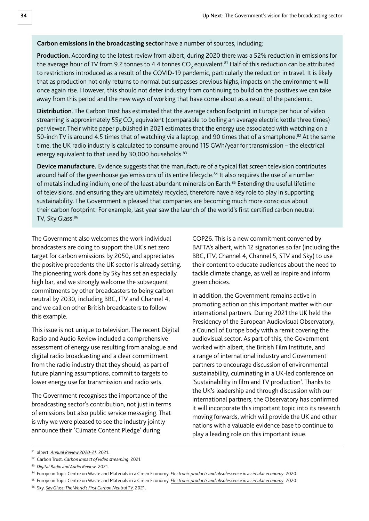#### **Carbon emissions in the broadcasting sector** have a number of sources, including:

**Production**. According to the latest review from albert, during 2020 there was a 52% reduction in emissions for the average hour of TV from 9.2 tonnes to 4.4 tonnes CO<sub>2</sub> equivalent.<sup>81</sup> Half of this reduction can be attributed to restrictions introduced as a result of the COVID-19 pandemic, particularly the reduction in travel. It is likely that as production not only returns to normal but surpasses previous highs, impacts on the environment will once again rise. However, this should not deter industry from continuing to build on the positives we can take away from this period and the new ways of working that have come about as a result of the pandemic.

**Distribution**. The Carbon Trust has estimated that the average carbon footprint in Europe per hour of video streaming is approximately 55g CO $_2$  equivalent (comparable to boiling an average electric kettle three times) per viewer. Their white paper published in 2021 estimates that the energy use associated with watching on a 50-inch TV is around 4.5 times that of watching via a laptop, and 90 times that of a smartphone.<sup>82</sup> At the same time, the UK radio industry is calculated to consume around 115 GWh/year for transmission – the electrical energy equivalent to that used by 30,000 households.<sup>83</sup>

**Device manufacture.** Evidence suggests that the manufacture of a typical flat screen television contributes around half of the greenhouse gas emissions of its entire lifecycle.<sup>84</sup> It also requires the use of a number of metals including indium, one of the least abundant minerals on Earth.<sup>85</sup> Extending the useful lifetime of televisions, and ensuring they are ultimately recycled, therefore have a key role to play in supporting sustainability. The Government is pleased that companies are becoming much more conscious about their carbon footprint. For example, last year saw the launch of the world's first certified carbon neutral TV, Sky Glass.<sup>86</sup>

The Government also welcomes the work individual broadcasters are doing to support the UK's net zero target for carbon emissions by 2050, and appreciates the positive precedents the UK sector is already setting. The pioneering work done by Sky has set an especially high bar, and we strongly welcome the subsequent commitments by other broadcasters to being carbon neutral by 2030, including BBC, ITV and Channel 4, and we call on other British broadcasters to follow this example.

This issue is not unique to television. The recent Digital Radio and Audio Review included a comprehensive assessment of energy use resulting from analogue and digital radio broadcasting and a clear commitment from the radio industry that they should, as part of future planning assumptions, commit to targets to lower energy use for transmission and radio sets.

The Government recognises the importance of the broadcasting sector's contribution, not just in terms of emissions but also public service messaging. That is why we were pleased to see the industry jointly announce their 'Climate Content Pledge' during

COP26. This is a new commitment convened by BAFTA's albert, with 12 signatories so far (including the BBC, ITV, Channel 4, Channel 5, STV and Sky) to use their content to educate audiences about the need to tackle climate change, as well as inspire and inform green choices.

In addition, the Government remains active in promoting action on this important matter with our international partners. During 2021 the UK held the Presidency of the European Audiovisual Observatory, a Council of Europe body with a remit covering the audiovisual sector. As part of this, the Government worked with albert, the British Film Institute, and a range of international industry and Government partners to encourage discussion of environmental sustainability, culminating in a UK-led conference on 'Sustainability in film and TV production'. Thanks to the UK's leadership and through discussion with our international partners, the Observatory has confirmed it will incorporate this important topic into its research moving forwards, which will provide the UK and other nations with a valuable evidence base to continue to play a leading role on this important issue.

<sup>81</sup> albert. *[Annual Review 2020-21](https://wearealbert.org/2021/09/09/our-2020-21-annual-review-is-out/)*. 2021.

<sup>82</sup> Carbon Trust. *[Carbon impact of video streaming](https://prod-drupal-files.storage.googleapis.com/documents/resource/public/Carbon-impact-of-video-streaming.pdf)*. 2021.

<sup>83</sup> *[Digital Radio and Audio Review](https://www.gov.uk/government/publications/digital-radio-and-audio-review)*. 2021.

<sup>&</sup>lt;sup>84</sup> European Topic Centre on Waste and Materials in a Green Economy. *[Electronic products and obsolescence in a circular economy](https://www.eionet.europa.eu/etcs/etc-wmge/products/etc-wmge-reports/electronics-and-obsolescence-in-a-circular-economy)*. 2020.

<sup>85</sup> European Topic Centre on Waste and Materials in a Green Economy. *[Electronic products and obsolescence in a circular economy](https://www.eionet.europa.eu/etcs/etc-wmge/products/etc-wmge-reports/electronics-and-obsolescence-in-a-circular-economy)*. 2020.

<sup>86</sup> Sky. *[Sky Glass: The World's First Carbon Neutral TV.](https://www.independent.co.uk/life-style/gadgets-and-tech/sky-glass-tv-sustainability-eco-features-b1940487.html)* 2021.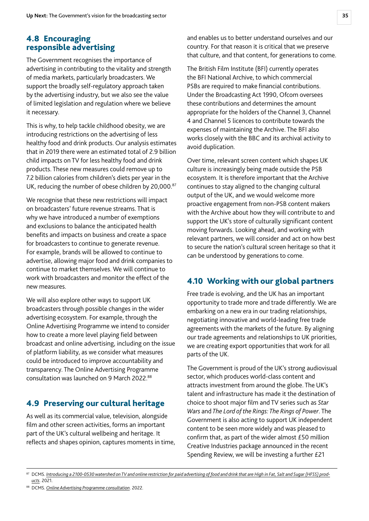# <span id="page-35-0"></span>4.8 Encouraging responsible advertising

The Government recognises the importance of advertising in contributing to the vitality and strength of media markets, particularly broadcasters. We support the broadly self-regulatory approach taken by the advertising industry, but we also see the value of limited legislation and regulation where we believe it necessary.

This is why, to help tackle childhood obesity, we are introducing restrictions on the advertising of less healthy food and drink products. Our analysis estimates that in 2019 there were an estimated total of 2.9 billion child impacts on TV for less healthy food and drink products. These new measures could remove up to 7.2 billion calories from children's diets per year in the UK, reducing the number of obese children by 20,000.<sup>87</sup>

We recognise that these new restrictions will impact on broadcasters' future revenue streams. That is why we have introduced a number of exemptions and exclusions to balance the anticipated health benefits and impacts on business and create a space for broadcasters to continue to generate revenue. For example, brands will be allowed to continue to advertise, allowing major food and drink companies to continue to market themselves. We will continue to work with broadcasters and monitor the effect of the new measures.

We will also explore other ways to support UK broadcasters through possible changes in the wider advertising ecosystem. For example, through the Online Advertising Programme we intend to consider how to create a more level playing field between broadcast and online advertising, including on the issue of platform liability, as we consider what measures could be introduced to improve accountability and transparency. The Online Advertising Programme consultation was launched on 9 March 2022.88

# 4.9 Preserving our cultural heritage

As well as its commercial value, television, alongside film and other screen activities, forms an important part of the UK's cultural wellbeing and heritage. It reflects and shapes opinion, captures moments in time, and enables us to better understand ourselves and our country. For that reason it is critical that we preserve that culture, and that content, for generations to come.

The British Film Institute (BFI) currently operates the BFI National Archive, to which commercial PSBs are required to make financial contributions. Under the Broadcasting Act 1990, Ofcom oversees these contributions and determines the amount appropriate for the holders of the Channel 3, Channel 4 and Channel 5 licences to contribute towards the expenses of maintaining the Archive. The BFI also works closely with the BBC and its archival activity to avoid duplication.

Over time, relevant screen content which shapes UK culture is increasingly being made outside the PSB ecosystem. It is therefore important that the Archive continues to stay aligned to the changing cultural output of the UK, and we would welcome more proactive engagement from non-PSB content makers with the Archive about how they will contribute to and support the UK's store of culturally significant content moving forwards. Looking ahead, and working with relevant partners, we will consider and act on how best to secure the nation's cultural screen heritage so that it can be understood by generations to come.

# 4.10 Working with our global partners

Free trade is evolving, and the UK has an important opportunity to trade more and trade differently. We are embarking on a new era in our trading relationships, negotiating innovative and world-leading free trade agreements with the markets of the future. By aligning our trade agreements and relationships to UK priorities, we are creating export opportunities that work for all parts of the UK.

The Government is proud of the UK's strong audiovisual sector, which produces world-class content and attracts investment from around the globe. The UK's talent and infrastructure has made it the destination of choice to shoot major film and TV series such as *Star Wars* and *The Lord of the Rings: The Rings of Power*. The Government is also acting to support UK independent content to be seen more widely and was pleased to confirm that, as part of the wider almost £50 million Creative Industries package announced in the recent Spending Review, we will be investing a further £21

<sup>&</sup>lt;sup>87</sup> DCMS. *[Introducing a 2100-0530 watershed on TV and online restriction for paid advertising of food and drink that are High in Fat, Salt and Sugar \(HFSS\) prod](https://assets.publishing.service.gov.uk/government/uploads/system/uploads/attachment_data/file/996232/impact-assessment-hfss-advertising.pdf)[ucts](https://assets.publishing.service.gov.uk/government/uploads/system/uploads/attachment_data/file/996232/impact-assessment-hfss-advertising.pdf)*. 2021.

<sup>88</sup> DCMS. *[Online Advertising Programme consultation](https://www.gov.uk/government/consultations/online-advertising-programme-consultation/online-advertising-programme-consultation)*. 2022.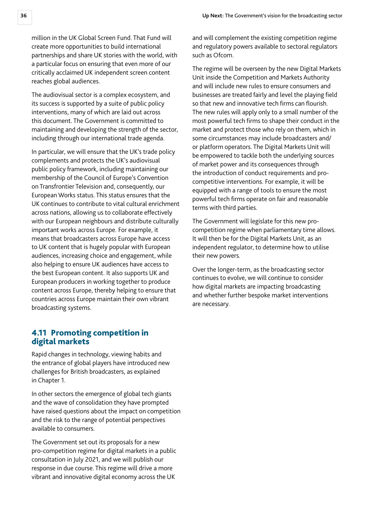<span id="page-36-0"></span>million in the UK Global Screen Fund. That Fund will create more opportunities to build international partnerships and share UK stories with the world, with a particular focus on ensuring that even more of our critically acclaimed UK independent screen content reaches global audiences.

The audiovisual sector is a complex ecosystem, and its success is supported by a suite of public policy interventions, many of which are laid out across this document. The Government is committed to maintaining and developing the strength of the sector, including through our international trade agenda.

In particular, we will ensure that the UK's trade policy complements and protects the UK's audiovisual public policy framework, including maintaining our membership of the Council of Europe's Convention on Transfrontier Television and, consequently, our European Works status. This status ensures that the UK continues to contribute to vital cultural enrichment across nations, allowing us to collaborate effectively with our European neighbours and distribute culturally important works across Europe. For example, it means that broadcasters across Europe have access to UK content that is hugely popular with European audiences, increasing choice and engagement, while also helping to ensure UK audiences have access to the best European content. It also supports UK and European producers in working together to produce content across Europe, thereby helping to ensure that countries across Europe maintain their own vibrant broadcasting systems.

### 4.11 Promoting competition in digital markets

Rapid changes in technology, viewing habits and the entrance of global players have introduced new challenges for British broadcasters, as explained in Chapter 1.

In other sectors the emergence of global tech giants and the wave of consolidation they have prompted have raised questions about the impact on competition and the risk to the range of potential perspectives available to consumers.

The Government set out its proposals for a new pro-competition regime for digital markets in a public consultation in July 2021, and we will publish our response in due course. This regime will drive a more vibrant and innovative digital economy across the UK

and will complement the existing competition regime and regulatory powers available to sectoral regulators such as Ofcom.

The regime will be overseen by the new Digital Markets Unit inside the Competition and Markets Authority and will include new rules to ensure consumers and businesses are treated fairly and level the playing field so that new and innovative tech firms can flourish. The new rules will apply only to a small number of the most powerful tech firms to shape their conduct in the market and protect those who rely on them, which in some circumstances may include broadcasters and/ or platform operators. The Digital Markets Unit will be empowered to tackle both the underlying sources of market power and its consequences through the introduction of conduct requirements and procompetitive interventions. For example, it will be equipped with a range of tools to ensure the most powerful tech firms operate on fair and reasonable terms with third parties.

The Government will legislate for this new procompetition regime when parliamentary time allows. It will then be for the Digital Markets Unit, as an independent regulator, to determine how to utilise their new powers.

Over the longer-term, as the broadcasting sector continues to evolve, we will continue to consider how digital markets are impacting broadcasting and whether further bespoke market interventions are necessary.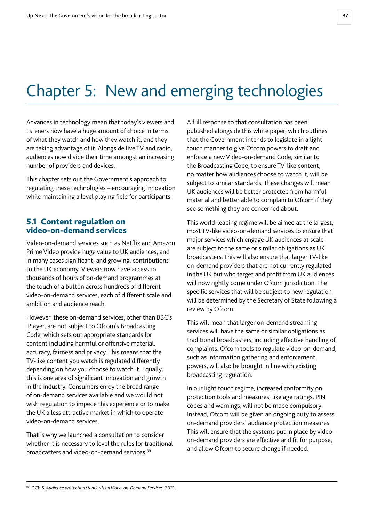# <span id="page-37-0"></span>Chapter 5: New and emerging technologies

Advances in technology mean that today's viewers and listeners now have a huge amount of choice in terms of what they watch and how they watch it, and they are taking advantage of it. Alongside live TV and radio, audiences now divide their time amongst an increasing number of providers and devices.

This chapter sets out the Government's approach to regulating these technologies – encouraging innovation while maintaining a level playing field for participants.

### 5.1 Content regulation on video-on-demand services

Video-on-demand services such as Netflix and Amazon Prime Video provide huge value to UK audiences, and in many cases significant, and growing, contributions to the UK economy. Viewers now have access to thousands of hours of on-demand programmes at the touch of a button across hundreds of different video-on-demand services, each of different scale and ambition and audience reach.

However, these on-demand services, other than BBC's iPlayer, are not subject to Ofcom's Broadcasting Code, which sets out appropriate standards for content including harmful or offensive material, accuracy, fairness and privacy. This means that the TV-like content you watch is regulated differently depending on how you choose to watch it. Equally, this is one area of significant innovation and growth in the industry. Consumers enjoy the broad range of on-demand services available and we would not wish regulation to impede this experience or to make the UK a less attractive market in which to operate video-on-demand services.

That is why we launched a consultation to consider whether it is necessary to level the rules for traditional broadcasters and video-on-demand services.89

A full response to that consultation has been published alongside this white paper, which outlines that the Government intends to legislate in a light touch manner to give Ofcom powers to draft and enforce a new Video-on-demand Code, similar to the Broadcasting Code, to ensure TV-like content, no matter how audiences choose to watch it, will be subject to similar standards. These changes will mean UK audiences will be better protected from harmful material and better able to complain to Ofcom if they see something they are concerned about.

This world-leading regime will be aimed at the largest, most TV-like video-on-demand services to ensure that major services which engage UK audiences at scale are subject to the same or similar obligations as UK broadcasters. This will also ensure that larger TV-like on-demand providers that are not currently regulated in the UK but who target and profit from UK audiences will now rightly come under Ofcom jurisdiction. The specific services that will be subject to new regulation will be determined by the Secretary of State following a review by Ofcom.

This will mean that larger on-demand streaming services will have the same or similar obligations as traditional broadcasters, including effective handling of complaints. Ofcom tools to regulate video-on-demand, such as information gathering and enforcement powers, will also be brought in line with existing broadcasting regulation.

In our light touch regime, increased conformity on protection tools and measures, like age ratings, PIN codes and warnings, will not be made compulsory. Instead, Ofcom will be given an ongoing duty to assess on-demand providers' audience protection measures. This will ensure that the systems put in place by videoon-demand providers are effective and fit for purpose, and allow Ofcom to secure change if needed.

<sup>89</sup> DCMS. *[Audience protection standards on Video-on-Demand Services](https://www.gov.uk/government/consultations/audience-protection-standards-on-video-on-demand-services)*. 2021.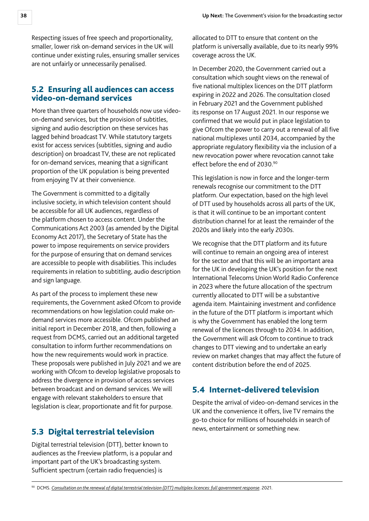<span id="page-38-0"></span>Respecting issues of free speech and proportionality, smaller, lower risk on-demand services in the UK will continue under existing rules, ensuring smaller services are not unfairly or unnecessarily penalised.

#### 5.2 Ensuring all audiences can access video-on-demand services

More than three quarters of households now use videoon-demand services, but the provision of subtitles, signing and audio description on these services has lagged behind broadcast TV. While statutory targets exist for access services (subtitles, signing and audio description) on broadcast TV, these are not replicated for on-demand services, meaning that a significant proportion of the UK population is being prevented from enjoying TV at their convenience.

The Government is committed to a digitally inclusive society, in which television content should be accessible for all UK audiences, regardless of the platform chosen to access content. Under the Communications Act 2003 (as amended by the Digital Economy Act 2017), the Secretary of State has the power to impose requirements on service providers for the purpose of ensuring that on demand services are accessible to people with disabilities. This includes requirements in relation to subtitling, audio description and sign language.

As part of the process to implement these new requirements, the Government asked Ofcom to provide recommendations on how legislation could make ondemand services more accessible. Ofcom published an initial report in December 2018, and then, following a request from DCMS, carried out an additional targeted consultation to inform further recommendations on how the new requirements would work in practice. These proposals were published in July 2021 and we are working with Ofcom to develop legislative proposals to address the divergence in provision of access services between broadcast and on demand services. We will engage with relevant stakeholders to ensure that legislation is clear, proportionate and fit for purpose.

### 5.3 Digital terrestrial television

Digital terrestrial television (DTT), better known to audiences as the Freeview platform, is a popular and important part of the UK's broadcasting system. Sufficient spectrum (certain radio frequencies) is

allocated to DTT to ensure that content on the platform is universally available, due to its nearly 99% coverage across the UK.

In December 2020, the Government carried out a consultation which sought views on the renewal of five national multiplex licences on the DTT platform expiring in 2022 and 2026. The consultation closed in February 2021 and the Government published its response on 17 August 2021. In our response we confirmed that we would put in place legislation to give Ofcom the power to carry out a renewal of all five national multiplexes until 2034, accompanied by the appropriate regulatory flexibility via the inclusion of a new revocation power where revocation cannot take effect before the end of 2030.<sup>90</sup>

This legislation is now in force and the longer-term renewals recognise our commitment to the DTT platform. Our expectation, based on the high level of DTT used by households across all parts of the UK, is that it will continue to be an important content distribution channel for at least the remainder of the 2020s and likely into the early 2030s.

We recognise that the DTT platform and its future will continue to remain an ongoing area of interest for the sector and that this will be an important area for the UK in developing the UK's position for the next International Telecoms Union World Radio Conference in 2023 where the future allocation of the spectrum currently allocated to DTT will be a substantive agenda item. Maintaining investment and confidence in the future of the DTT platform is important which is why the Government has enabled the long term renewal of the licences through to 2034. In addition, the Government will ask Ofcom to continue to track changes to DTT viewing and to undertake an early review on market changes that may affect the future of content distribution before the end of 2025.

### 5.4 Internet-delivered television

Despite the arrival of video-on-demand services in the UK and the convenience it offers, live TV remains the go-to choice for millions of households in search of news, entertainment or something new.

<sup>90</sup> DCMS. *[Consultation on the renewal of digital terrestrial television \(DTT\) multiplex licences: full government response](https://www.gov.uk/government/consultations/consultation-on-the-renewal-of-digital-terrestrial-television-dtt-multiplex-licences-expiring-in-2022-and-2026/outcome/consultation-on-the-renewal-of-digital-terrestrial-television-dtt-multiplex-licences-full-government-response)*. 2021.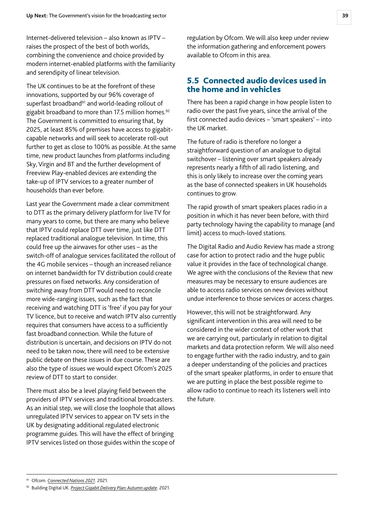<span id="page-39-0"></span>Internet-delivered television – also known as IPTV – raises the prospect of the best of both worlds, combining the convenience and choice provided by modern internet-enabled platforms with the familiarity and serendipity of linear television.

The UK continues to be at the forefront of these innovations, supported by our 96% coverage of superfast broadband<sup>91</sup> and world-leading rollout of gigabit broadband to more than 17.5 million homes.<sup>92</sup> The Government is committed to ensuring that, by 2025, at least 85% of premises have access to gigabitcapable networks and will seek to accelerate roll-out further to get as close to 100% as possible. At the same time, new product launches from platforms including Sky, Virgin and BT and the further development of Freeview Play-enabled devices are extending the take-up of IPTV services to a greater number of households than ever before.

Last year the Government made a clear commitment to DTT as the primary delivery platform for live TV for many years to come, but there are many who believe that IPTV could replace DTT over time, just like DTT replaced traditional analogue television. In time, this could free up the airwaves for other uses – as the switch-off of analogue services facilitated the rollout of the 4G mobile services – though an increased reliance on internet bandwidth for TV distribution could create pressures on fixed networks. Any consideration of switching away from DTT would need to reconcile more wide-ranging issues, such as the fact that receiving and watching DTT is 'free' if you pay for your TV licence, but to receive and watch IPTV also currently requires that consumers have access to a sufficiently fast broadband connection. While the future of distribution is uncertain, and decisions on IPTV do not need to be taken now, there will need to be extensive public debate on these issues in due course. These are also the type of issues we would expect Ofcom's 2025 review of DTT to start to consider.

There must also be a level playing field between the providers of IPTV services and traditional broadcasters. As an initial step, we will close the loophole that allows unregulated IPTV services to appear on TV sets in the UK by designating additional regulated electronic programme guides. This will have the effect of bringing IPTV services listed on those guides within the scope of

regulation by Ofcom. We will also keep under review the information gathering and enforcement powers available to Ofcom in this area.

### 5.5 Connected audio devices used in the home and in vehicles

There has been a rapid change in how people listen to radio over the past five years, since the arrival of the first connected audio devices – 'smart speakers' – into the UK market.

The future of radio is therefore no longer a straightforward question of an analogue to digital switchover – listening over smart speakers already represents nearly a fifth of all radio listening, and this is only likely to increase over the coming years as the base of connected speakers in UK households continues to grow.

The rapid growth of smart speakers places radio in a position in which it has never been before, with third party technology having the capability to manage (and limit) access to much-loved stations.

The Digital Radio and Audio Review has made a strong case for action to protect radio and the huge public value it provides in the face of technological change. We agree with the conclusions of the Review that new measures may be necessary to ensure audiences are able to access radio services on new devices without undue interference to those services or access charges.

However, this will not be straightforward. Any significant intervention in this area will need to be considered in the wider context of other work that we are carrying out, particularly in relation to digital markets and data protection reform. We will also need to engage further with the radio industry, and to gain a deeper understanding of the policies and practices of the smart speaker platforms, in order to ensure that we are putting in place the best possible regime to allow radio to continue to reach its listeners well into the future.

<sup>91</sup> Ofcom. *[Connected Nations 2021](https://www.ofcom.org.uk/research-and-data/multi-sector-research/infrastructure-research/connected-nations-2021)*. 2021.

<sup>92</sup> Building Digital UK. *[Project Gigabit Delivery Plan: Autumn update](https://www.gov.uk/government/publications/project-gigabit-delivery-plan-autumn-update/project-gigabit-delivery-plan-autumn-update)*. 2021.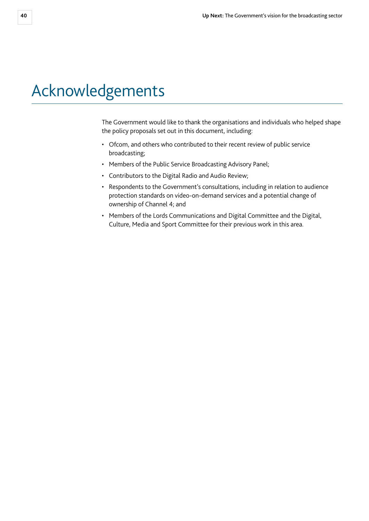# <span id="page-40-0"></span>Acknowledgements

The Government would like to thank the organisations and individuals who helped shape the policy proposals set out in this document, including:

- Ofcom, and others who contributed to their recent review of public service broadcasting;
- Members of the Public Service Broadcasting Advisory Panel;
- Contributors to the Digital Radio and Audio Review;
- Respondents to the Government's consultations, including in relation to audience protection standards on video-on-demand services and a potential change of ownership of Channel 4; and
- Members of the Lords Communications and Digital Committee and the Digital, Culture, Media and Sport Committee for their previous work in this area.